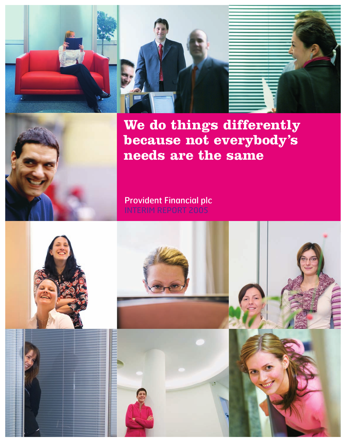







**We do things differently because not everybody's needs are the same**

## Provident Financial plc INTERIM REPORT 2005

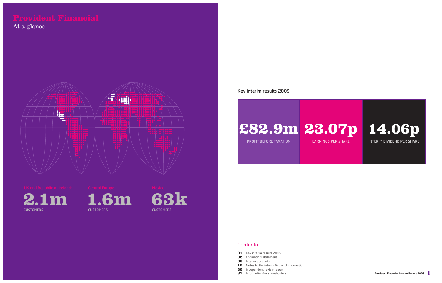

# **£82.9m 23.07p**

PROFIT BEFORE TAXATION

EARNINGS PER SHARE

### **Contents**



## Key interim results 2005

- **01** Key interim results 2005
- **02** Chairman's statement
- **06** Interim accounts
- **10** Notes to the interim financial information
- **30** Independent review report
- **31** Information for shareholders







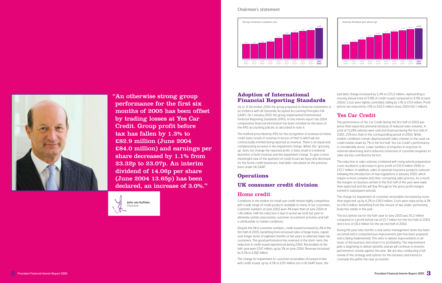"An otherwise strong group performance for the first six months of 2005 has been offset by trading losses at Yes Car Credit. Group profit before tax has fallen by 1.3% to £82.9 million (June 2004 £84.0 million) and earnings per share decreased by 1.1% from 23.32p to 23.07p. An interim dividend of 14.06p per share (June 2004 13.65p) has been declared, an increase of 3.0%.**"**

## **Adoption of International Financial Reporting Standards**

Up to 31 December 2004 the group prepared its financial statements in accordance with UK Generally Accepted Accounting Principles (UK GAAP). On 1 January 2005 the group implemented International Financial Reporting Standards (IFRS). In this interim report the 2004 comparative financial information has been restated on the basis of the IFRS accounting policies as described in note 4.

The method prescribed by IFRS for the recognition of revenue on home credit loans results in revenue in excess of that to which we are contractually entitled being reported as revenue. There is an equal and compensating increase in the impairment charge. Whilst this 'grossing up' does not change the reported profit, it does result in a material distortion of both revenue and the impairment charge. To give a more meaningful view of the quantum of credit losses we have also disclosed, for the home credit businesses, bad debt, calculated on the previous basis under UK GAAP.

## **Operations**

## **UK consumer credit division**

## Home credit

Conditions in the market for small sum credit remain highly competitive with a wide range of credit products available to many of our customers. Customer numbers at June 2005 were 4% lower than at June 2004 at 1.46 million. Half the reduction is due to action we took last year to eliminate certain uneconomic customer recruitment activities and half is attributable to market conditions.

Despite the fall in customer numbers, credit issued increased by 4% in the first half of 2005, benefiting from increased sales of larger loans, repaid over longer terms of eighteen months or two years to selected, lower risk customers. This good performance has reversed, in the short-term, the reduction in credit issued experienced during 2004. Receivables at the half-year were £547 million, up by 5% on June 2004. Revenue increased by 0.3% to £282 million.

The charge for impairment to customer receivables increased in line with credit issued, up by 4.5% to £101 million (on a UK GAAP basis, the

bad debt charge increased by 5.4% to £55.2 million, representing a moving annual total of 9.8% of credit issued compared to 9.9% at June 2004). Costs were tightly controlled, falling by 1.1% to £114 million. Profit before tax reduced by 1.0% to £60.5 million (June 2004 £61.1 million).



## Yes Car Credit

The performance of Yes Car Credit during the first half of 2005 was worse than expected, primarily because of reduced sales volumes. A total of 15,289 vehicles were sold and financed during the first half of 2005, 25% less than in the corresponding period of 2004. While market conditions remain depressed with sales volumes in the used car credit market down by 7% in the first half, Yes Car Credit's performance is considerably worse. Lower numbers of enquiries in response to national advertising and a reduced conversion of customer enquiries to sales are key contributory factors.

The reduction in sales volumes combined with rising vehicle preparation costs resulted in a decrease in gross profit of £10.9 million (16%) to £55.7 million. In addition, sales of optional insurance products reduced following the introduction of new regulations in January 2005, which require a more complex and time-consuming sales process. As a result, the margins on business written in the first half of the year were lower than expected and this will flow through to the gross profit margins earned in subsequent periods.

The charge for impairment of customer receivables increased by more than expected, up by 6.2% to £18.9 million. Costs were reduced by 4.3% to £36.0 million, benefiting from the closure of two under-performing branches earlier in the year.

The loss before tax for the half-year to June 2005 was £6.2 million compared to a profit before tax of £5.7 million for the first half of 2004 and a loss of £8.4 million for the second half of 2004.

During the past nine months a new senior management team has been recruited and a comprehensive improvement plan has been prepared and is being implemented. This aims to deliver improvements in all areas of the business and return it to profitability. The improvement plan is beginning to deliver benefits and we will continue to monitor performance closely against this plan. We are also conducting a full review of the strategy and options for this business and intend to conclude this within the next six months.

### Chairman's statement









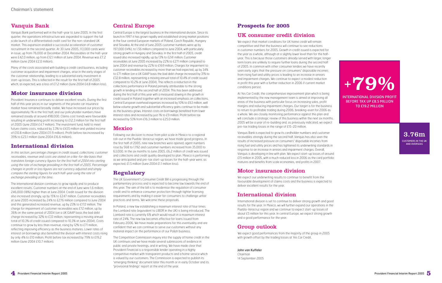## Vanquis Bank

Many of the costs associated with building a credit card business, including customer acquisition and impairment charges, arise in the early stages of the customer relationship, leading to a substantial early investment in start-up losses. This is reflected in the result for the first half of 2005 which, as expected, was a loss of £7.2 million (June 2004 £4.8 million loss).

Vanquis Bank performed well in the half-year to June 2005. In the first quarter, the operations infrastructure was expanded to support the full scale launch of a differentiated credit card for the non-standard UK market. This expansion enabled a successful acceleration of customer recruitment in the second quarter. At 30 June 2005, 113,000 cards were in issue, up from 76,000 at December 2004. Receivables at the half-year were £42.0 million, up from £12.1 million at June 2004. Revenue was £7.2 million (June 2004 £2.0 million).

## **Motor insurance division**

Provident Insurance continues to deliver excellent results. During the first half of this year prices in our segments of the private car insurance market have remained broadly stable. We have increased our prices by approximately 1% in the first half, and our policyholder numbers have remained steady at around 498,000. Claims cost trends were favourable resulting in underwriting profit increasing to £12.3 million for the first half of 2005 (June 2004 £4.7 million). The investment fund, held to meet future claims costs, reduced by 3.3% to £435 million and yielded income of £10.8 million (June 2004 £11.9 million). Profit before tax increased by 39% to £23.1 million (June 2004 £16.6 million).

## **International division**

In this section, percentage changes in credit issued, collections, customer receivables, revenue and costs are stated on a like-for-like basis that translates foreign currency figures for the first half of 2004 into sterling using the rate of exchange prevailing in the first half of 2005. Percentage changes in profit or loss figures are not currency adjusted and simply compare the sterling figures for each half-year using the rate of exchange prevailing at the time.

The international division continues to grow rapidly and to produce excellent results. Customer numbers at the end of June were 1.6 million, 246,000 (18%) higher than at June 2004. Credit issued for the division also increased strongly, up by 15% to £247 million. Customer receivables at June 2005 increased by 24% to £276 million compared to June 2004 and this generated increased revenue, up by 23% to £172 million. The charge for impairment of customer receivables was £72 million, up by 36% on the same period of 2004 (on a UK GAAP basis the bad debt charge increased by 32% to £33 million, representing a moving annual total of 10.3% of credit issued compared to 10.3% at June 2004). Costs continue to grow by less than revenue, rising by 12% to £71 million, reflecting improving efficiency as the business matures. Lower rates of interest on borrowings also benefited the division with interest costs rising by only 4% to £10 million. Profit before tax increased by 79% to £19.2 million (June 2004 £10.7 million).

## Central Europe

Central Europe is the largest business in the international division. Since its launch in 1997 it has grown rapidly and established strong market positions in the four central European markets of Poland, Czech Republic, Hungary and Slovakia. At the end of June 2005 customer numbers were up by 197,000 (14%), to 1.56 million compared to June 2004, with particularly strong growth in Hungary and Slovakia. In the first half of 2005, credit issued also increased rapidly, up by 13% to £241 million. Customer receivables at June 2005 increased by 22% to £271 million compared to June 2004 and revenue by 22% to £169 million. Charges for impairment to customer receivables increased by more than we had expected, up by 34% to £71 million (on a UK GAAP basis the bad debt charge increased by 31% to £32.8 million, representing a moving annual total of 10.4% of credit issued compared to 10.2% at June 2004). This reflects a reduction in the collections performance in Poland primarily attributable to the strong growth in lending in the second half of 2004. This has been addressed during the first half of this year with a measured slowing in the growth in credit issued in Poland together with an increased emphasis on collections. Central European overhead expenses increased by 10% to £63 million, well below volume growth and substantial efficiency gains continue to be made as the business grows. Interest costs on borrowings benefited from lower interest rates and increased by just 1% to £9 million. Profit before tax increased by 53% from £16.3 million to £25.0 million.

## Mexico

Following our decision to move from pilot scale in Mexico to a regional roll-out in the Puebla-Veracruz region, we have made good progress. In the first half of 2005, nine new branches were opened, agent numbers rose by 568 to 1,192 and customer numbers increased from 35,000 to 63,000. In the six months to June 2005, £6.2 million of credit was issued and collections and credit quality developed to plan. Mexico is performing as we anticipated and pre-tax start-up losses for the half-year were, as expected, £1.5 million (June 2004 £1.1 million loss).

## **Regulatory**

The UK Government's Consumer Credit Bill is progressing through the parliamentary process and is expected to become law towards the end of this year. The aim of the bill is to modernise the regulation of consumer credit and to enhance consumer protection through tighter licensing requirements and by making it easier for consumers to challenge unfair practices and terms. We welcome these proposals.

In Poland, a new law establishing a maximum interest rate of four times the Lombard rate (equivalent to LIBOR in the UK) is being introduced. The Lombard rate is currently 6% which would result in a maximum interest rate of 24%. The new law becomes effective for loans issued from February 2006. We have made preparations for this eventuality and are confident that we can continue to serve our customers without any material impact on the performance of our Polish business.

The Competition Commission inquiry into the supply of home credit in the UK continues and we have made several submissions of evidence in public and private hearings, and in writing. We have made clear that Provident Financial is a responsible lender operating in a highly competitive market with transparent products and a home service which is valued by our customers. The Commission is expected to publish its 'emerging thinking' document later this month or in early October and its 'provisional findings' report at the end of the year.

## **Prospects for 2005**

## UK consumer credit division

We expect that market conditions for UK home credit will remain competitive and that the business will continue to see reductions in customer numbers for 2005. Growth in credit issued is expected for the year as a whole, although at a slightly lower level than for the halfyear. This is because those customers already served with larger, longer term loans are unlikely to require further loans during the second half of 2005. In common with other consumer lenders we have recently seen early signs that the pressure on consumers' disposable incomes from rising fuel and utility prices is leading to an increase in arrears and impairment charges. We continue to expect a modest reduction in profit this year with a further reduction in 2006 if current market conditions persist.

At Yes Car Credit, the comprehensive improvement plan which is being implemented by the new management team is aimed at improving all areas of the business with particular focus on increasing sales, profit margins and reducing impairment charges. Our target is for the business to return to profitable trading during 2006, breaking-even for 2006 as a whole. We are closely monitoring performance against this plan and will conclude a strategic review of this business within the next six months. 2005 will be a year of re-building and, as previously indicated, we expect pre-tax trading losses in the range of £15-20 million.

Vanquis Bank is expected to grow its cardholder numbers and customer receivables strongly during the second half. Vanquis has also seen the results of increased pressure on consumers' disposable incomes from rising fuel and utility prices and has tightened its underwriting standards in response to an increase in arrears and impairment charges. Overall, Vanquis is developing in line with plan. We expect start-up losses of around £15 million in 2005, with a much reduced loss in 2006 as the card portfolio matures and benefits from scale economies, and profits in 2007.

## Motor insurance division

We expect our underwriting results to continue to benefit from the favourable development of claims costs and the business is expected to deliver excellent results for the year.

## International division

International division is set to continue to deliver strong growth and good results for the year. In Mexico, we will further expand our operations in the Puebla-Veracruz region and we continue to expect start-up losses of about £5 million for this year. In central Europe, we expect strong growth and a good performance for the year.

## Group outlook

We expect good performances from the majority of the group in 2005 with growth offset by the trading losses at Yes Car Credit.

### John van Kuffeler

Chairman 14 September 2005



### INTERNA TIONAL DIVISION PROFIT BEFORE TAX UP £8.5 MILLION TO £19.2 MILLION



CUSTOMERS IN THE UK AND OVERSEAS

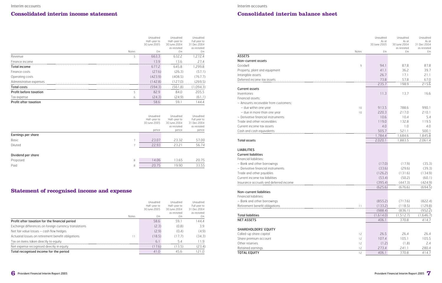

## **Consolidated interim balance sheet**

Financial liabilities: – Bank and other borrowings Retirement benefit obligations

### **Total liabilities**

NET ASSETS

|                                        |       |         | as restated | as restated |
|----------------------------------------|-------|---------|-------------|-------------|
| <b>ASSETS</b>                          | Notes | £m      | £m          | £m          |
|                                        |       |         |             |             |
| Non-current assets                     |       |         |             |             |
| Goodwill                               | 9     | 94.1    | 87.8        | 87.8        |
| Property, plant and equipment          |       | 41.1    | 36.2        | 39.7        |
| Intangible assets                      |       | 26.7    | 17.1        | 21.1        |
| Deferred income tax assets             |       | 73.8    | 57.8        | 67.0        |
|                                        |       | 235.7   | 198.9       | 215.6       |
| <b>Current assets</b>                  |       |         |             |             |
| Inventories                            |       | 11.3    | 13.7        | 16.6        |
| Financial assets:                      |       |         |             |             |
| - Amounts receivable from customers:   |       |         |             |             |
| - due within one year                  | 10    | 913.5   | 788.6       | 990.1       |
| - due in more than one year            | 10    | 220.3   | 217.0       | 210.1       |
| - Derivative financial instruments     |       | 10.6    | 10.4        | 5.4         |
| Trade and other receivables            |       | 119.0   | 132.8       | 119.5       |
| Current income tax assets              |       | 4.0     | 1.0         | 4.0         |
| Cash and cash equivalents              |       | 505.7   | 521.1       | 500.1       |
|                                        |       | 1,784.4 | 1,684.6     | 1,845.8     |
| <b>Total assets</b>                    |       | 2,020.1 | 1,883.5     | 2,061.4     |
| <b>LIABILITIES</b>                     |       |         |             |             |
| <b>Current liabilities</b>             |       |         |             |             |
| Financial liabilities:                 |       |         |             |             |
| - Bank and other borrowings            |       | (17.0)  | (17.9)      | (35.3)      |
| - Derivative financial instruments     |       | (33.6)  | (29.6)      | (39.3)      |
| Trade and other payables               |       | (126.2) | (131.6)     | (134.9)     |
| Current income tax liabilities         |       | (53.4)  | (50.2)      | (60.1)      |
| Insurance accruals and deferred income |       | (395.4) | (447.3)     | (424.9)     |

|       | Unaudited             | Unaudited             | Unaudited            |
|-------|-----------------------|-----------------------|----------------------|
|       | As at<br>30 June 2005 | As at<br>30 June 2004 | As at<br>31 Dec 2004 |
|       |                       | as restated           | as restated          |
| Notes | £m                    | £m                    | £m                   |
|       |                       |                       |                      |
| 9     | 94.1                  | 87.8                  | 87.8                 |
|       | 41.1                  | 36.2                  | 39.7                 |
|       | 26.7                  | 17.1                  | 21.1                 |
|       | 73.8                  | 57.8                  | 67.0                 |
|       | 235.7                 | 198.9                 | 215.6                |
|       | 11.3                  | 13.7                  | 16.6                 |
|       |                       |                       |                      |
| 10    | 913.5                 | 788.6                 | 990.1                |
| 10    | 220.3                 | 217.0                 | 210.1                |
|       | 10.6                  | 10.4                  | 5.4                  |
|       | 119.0                 | 132.8                 | 119.5                |
|       | 4.0                   | 1.0                   | 4.0                  |
|       | 505.7                 | 521.1                 | 500.1                |
|       | 1,784.4               | 1,684.6               | 1,845.8              |
|       | 2,020.1               | 1,883.5               | 2,061.4              |
|       |                       |                       |                      |
|       | (17.0)                | (17.9)                | (35.3)               |
|       | (33.6)                | (29.6)                | (39.3)               |
|       | (126.2)               | (131.6)               | (134.9)              |
|       | (53.4)                | (50.2)                | (60.1)               |
|       | (395.4)               | (447.3)               | (424.9)              |
|       | (625.6)               | (676.6)               | (694.5)              |
|       |                       |                       |                      |
|       | (855.2)               | (717.6)               | (822.4)              |
| 11    | (133.2)               | (118.5)               | (129.8)              |
|       | (988.4)               | (836.1)               | (952.2)<br>(1,646.7) |
|       | (1,614.0)<br>406.1    | (1, 512.7)<br>370.8   | 414.7                |
|       |                       |                       |                      |
| 12    | 26.5                  | 26.4                  | 26.4                 |
| 12    | 107.4                 | 105.1                 | 105.5                |
| 12    | (1.2)                 | (1.8)                 | 2.4                  |
| 12    | 273.4                 | 241.1                 | 280.4                |
| 12    | 406.1                 | 370.8                 | 414.7                |

### Non-current liabilities

### SHAREHOLDERS' EQUITY

Called-up share capital Share premium account Other reserves Retained earnings **TOTAL EQUITY** 

## **Consolidated interim income statement**

|                         |              | Unaudited    | Unaudited                                | Unaudited                                    |
|-------------------------|--------------|--------------|------------------------------------------|----------------------------------------------|
|                         |              | Half-year to | Half-year to                             | Full year to                                 |
|                         |              | 30 June 2005 | 30 June 2004                             | 31 Dec 2004                                  |
|                         |              |              | as restated                              | as restated                                  |
|                         | <b>Notes</b> | £m           | £m                                       | £m                                           |
| Revenue                 | 5            | 663.3        | 632.2                                    | 272.4                                        |
| Finance income          |              | 3.9          | 3.6                                      | 27 4                                         |
| <b>Total income</b>     |              | 677.2        | 645.8                                    | .299.8                                       |
| Finance costs           |              | (27.6)       | (26.3)                                   | (57.1)                                       |
| Operating costs         |              | (423.9)      | (408.5)                                  | (767.7)                                      |
| Administrative expenses |              | 142.8        | 27 N                                     | (269.5)                                      |
| Total costs             |              | 594.3        | .81<br>'561<br>------------------------- | 094.3)<br>---------------------------------- |
| Profit before taxation  |              | 829          | 84 N                                     | 2055                                         |
| Tax expense             | 6            | (24.3)       | (24.9)                                   | (61.1)                                       |
| Profit after taxation   |              | 58.6         | 59.1                                     | 44.4                                         |

|                    |                          | Unaudited<br>Half-year to<br>30 June 2005<br>pence | Unaudited<br>Half-year to<br>30 June 2004<br>as restated<br>pence | Unaudited<br>Full year to<br>31 Dec 2004<br>as restated<br>pence |
|--------------------|--------------------------|----------------------------------------------------|-------------------------------------------------------------------|------------------------------------------------------------------|
| Earnings per share |                          |                                                    |                                                                   |                                                                  |
| <b>Basic</b>       | $\overline{\phantom{a}}$ | 23.07                                              | 23.32                                                             | 57.00                                                            |
| Diluted            | $\overline{\phantom{a}}$ | 22.93                                              | 23.21                                                             | 56.74                                                            |
| Dividend per share |                          |                                                    |                                                                   |                                                                  |
| Proposed           | 8                        | 14.06                                              | 13.65                                                             | 20.75                                                            |
| Paid               | 8                        | 20.75                                              | 19.90                                                             | 33.55                                                            |

## **Statement of recognised income and expense**

|                                                       | <b>Notes</b> | Unaudited<br>Half-year to<br>30 June 2005<br>fm | Unaudited<br>Half-year to<br>30 June 2004<br>as restated<br>£m | Unaudited<br>Full year to<br>31 Dec 2004<br>as restated<br>ŁΜ |
|-------------------------------------------------------|--------------|-------------------------------------------------|----------------------------------------------------------------|---------------------------------------------------------------|
| Profit after taxation for the financial period        |              | 58.6                                            | 591                                                            | 444                                                           |
| Exchange differences on foreign currency translations |              | (2.3)                                           | (0.8)                                                          | 3.9                                                           |
| Net fair value losses - cash flow hedges              |              | (2.9)                                           | (0.4)                                                          | (4.9)                                                         |
| Actuarial losses on retirement benefit obligations    |              | (18.5)                                          | 17.7)                                                          | (34.3)                                                        |
| Tax on items taken directly to equity                 |              | Б.                                              | ҕ⊿                                                             |                                                               |
| Net expense recognised directly in equity             |              | (17.6)                                          | (13.5)                                                         | (23.4)                                                        |
| Total recognised income for the period                |              | 41.0                                            | 45.6                                                           |                                                               |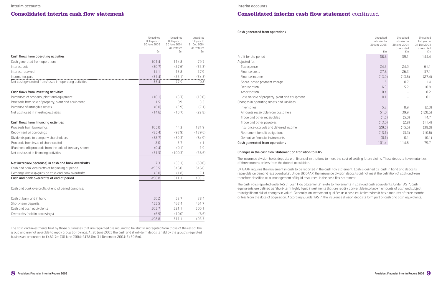

## **Consolidated interim cash flow statement** continued

#### Cash generated from operations

| Unaudited<br>Half-year to<br>30 June 2005 | Unaudited<br>Half-year to<br>30 June 2004<br>as restated | Unaudited<br>Full year to<br>31 Dec 2004<br>as restated |
|-------------------------------------------|----------------------------------------------------------|---------------------------------------------------------|
| £m                                        | £m                                                       | £m                                                      |
| 58.6                                      | 59.1                                                     | 144.4                                                   |
| 24.3                                      | 24.9                                                     | 61.1                                                    |
| 27.6                                      | 26.3                                                     | 57.1                                                    |
| (13.9)                                    | (13.6)                                                   | (27.4)                                                  |
| 1.5                                       | 0.7                                                      | 1.4                                                     |
| 6.3                                       | 5.2                                                      | 10.8                                                    |
| 0.4                                       |                                                          | 0.2                                                     |
| 0.1                                       |                                                          | 0.1                                                     |
| 5.3                                       | 0.9                                                      | (2.0)                                                   |
| 51.0                                      | 39.9                                                     | (120.6)                                                 |
| (1.5)                                     | (5.0)                                                    | 14.7                                                    |
| (13.6)                                    | (2.8)                                                    | (11.4)                                                  |
| (29.5)                                    | (15.6)                                                   | (38.0)                                                  |
| (15.1)                                    | (5.3)                                                    | (10.6)                                                  |
| (0.1)                                     | 0.1                                                      | (0.1)                                                   |
| 101.4                                     | 114.8                                                    | 79.7                                                    |

|                                               | f <sub>m</sub> | fm     | £m      |
|-----------------------------------------------|----------------|--------|---------|
| Profit for the period                         | 58.6           | 59.1   | 144.4   |
| Adjusted for:                                 |                |        |         |
| Tax expense                                   | 24.3           | 24.9   | 61.1    |
| Finance costs                                 | 27.6           | 26.3   | 57.1    |
| Finance income                                | (13.9)         | (13.6) | (27.4)  |
| Share-based payment charge                    | 1.5            | 0.7    | 1.4     |
| Depreciation                                  | 6.3            | 5.2    | 10.8    |
| Amortisation                                  | 0.4            |        | 0.2     |
| Loss on sale of property, plant and equipment | 0.1            |        | 0.1     |
| Changes in operating assets and liabilities:  |                |        |         |
| Inventories                                   | 5.3            | 0.9    | (2.0)   |
| Amounts receivable from customers             | 51.0           | 39.9   | (120.6) |
| Trade and other receivables                   | (1.5)          | (5.0)  | 14.7    |
| Trade and other payables                      | (13.6)         | (2.8)  | (11.4)  |
| Insurance accruals and deferred income        | (29.5)         | (15.6) | (38.0)  |
| Retirement benefit obligations                | (15.1)         | (5.3)  | (10.6)  |
| Derivative financial instruments              | (0.1)          | 0.1    | (0.1)   |
| Cash generated from operations                | 101.4          | 114.8  | 79.7    |

#### Changes in the cash flow statement on transition to IFRS

The insurance division holds deposits with financial institutions to meet the cost of settling future claims. These deposits have maturities of three months or less from the date of acquisition.

UK GAAP requires the movement in cash to be reported in the cash flow statement. Cash is defined as 'cash in hand and deposits repayable on demand less overdrafts'. Under UK GAAP, the insurance division deposits did not meet the definition of cash and were therefore classified as a 'management of liquid resources' in the cash flow statement.

The cash flows reported under IAS 7 'Cash Flow Statements' relate to movements in cash and cash equivalents. Under IAS 7, cash equivalents are defined as 'short-term highly liquid investments that are readily convertible into known amounts of cash and subject to insignificant risk of changes in value'. Generally, an investment qualifies as a cash equivalent when it has a maturity of three months or less from the date of acquisition. Accordingly, under IAS 7, the insurance division deposits form part of cash and cash equivalents.

Interim accounts

## **Consolidated interim cash flow statement**

|                                                         | Unaudited<br>Half-year to<br>30 June 2005 | Unaudited<br>Half-year to<br>30 June 2004 | Unaudited<br>Full year to<br>31 Dec 2004 |
|---------------------------------------------------------|-------------------------------------------|-------------------------------------------|------------------------------------------|
|                                                         | £m                                        | as restated<br>£m                         | as restated<br>£m                        |
| Cash flows from operating activities                    |                                           |                                           |                                          |
| Cash generated from operations                          | 101.4                                     | 114.8                                     | 79.7                                     |
| Interest paid                                           | (30.7)                                    | (27.6)                                    | (53.3)                                   |
| Interest received                                       | 14.1                                      | 13.8                                      | 27.9                                     |
| Income tax paid                                         | (31.4)                                    | (23.1)                                    | (54.5)                                   |
| Net cash generated from/(used in) operating activities  | 53.4                                      | 77.9                                      | (0.2)                                    |
| Cash flows from investing activities                    |                                           |                                           |                                          |
| Purchases of property, plant and equipment              | (10.1)                                    | (8.7)                                     | (19.0)                                   |
| Proceeds from sale of property, plant and equipment     | 1.5                                       | 0.9                                       | 3.3                                      |
| Purchase of intangible assets                           | (6.0)                                     | (2.9)                                     | (7.1)                                    |
| Net cash used in investing activities                   | (14.6)                                    | (10.7)                                    | (22.8)                                   |
| Cash flows from financing activities                    |                                           |                                           |                                          |
| Proceeds from borrowings                                | 105.0                                     | 44.3                                      | 181.9                                    |
| Repayment of borrowings                                 | (85.4)                                    | (97.9)                                    | (139.6)                                  |
| Dividends paid to company shareholders                  | (52.7)                                    | (50.3)                                    | (84.9)                                   |
| Proceeds from issue of share capital                    | 2.0                                       | 3.7                                       | 4.1                                      |
| (Purchase of)/proceeds from the sale of treasury shares | (0.4)                                     | (0.1)                                     | 1.9                                      |
| Net cash used in financing activities                   | (31.5)                                    | (100.3)                                   | (36.6)                                   |
| Net increase/(decrease) in cash and bank overdrafts     | 7.3                                       | (33.1)                                    | (59.6)                                   |
| Cash and bank overdrafts at beginning of period         | 493.5                                     | 546.0                                     | 546.0                                    |
| Exchange (losses)/gains on cash and bank overdrafts     | (2.0)                                     | (1.8)                                     | 7.1                                      |
| Cash and bank overdrafts at end of period               | 498.8                                     | 511.1                                     | 493.5                                    |
| Cash and bank overdrafts at end of period comprise:     |                                           |                                           |                                          |
| Cash at bank and in hand                                | 50.2                                      | 53.7                                      | 38.4                                     |
| Short-term deposits                                     | 455.5                                     | 467.4                                     | 461.7                                    |
| Cash and cash equivalents                               | 505.7                                     | 521.1                                     | 500.1                                    |
| Overdrafts (held in borrowings)                         | (6.9)                                     | (10.0)                                    | (6.6)                                    |
|                                                         | 498.8                                     | 511.1                                     | 493.5                                    |

The cash and investments held by those businesses that are regulated are required to be strictly segregated from those of the rest of the group and are not available to repay group borrowings. At 30 June 2005 the cash and short-term deposits held by the group's regulated businesses amounted to £462.7m (30 June 2004: £478.0m, 31 December 2004: £469.6m).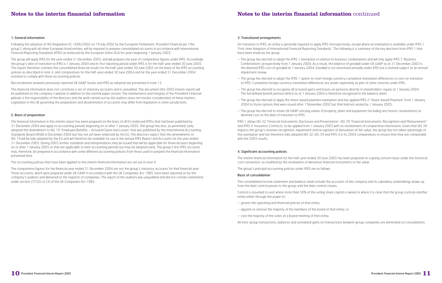#### 3. Transitional arrangements

On transition to IFRS, an entity is generally required to apply IFRS retrospectively, except where an exemption is available under IFRS 1 'First-time Adoption of International Financial Reporting Standards'. The following is a summary of the key elections from IFRS 1 that have been made by the group.

- The group has elected to adopt the IFRS 1 exemption in relation to business combinations and will only apply IFRS 3 'Business Combinations' prospectively from 1 January 2004. As a result, the balance of goodwill under UK GAAP as at 31 December 2003 is the deemed IFRS cost of goodwill at 1 January 2004. Goodwill is not amortised annually under IFRS but is instead subject to an annual impairment review.
- The group has elected to adopt the IFRS 1 option to reset foreign currency cumulative translation differences to zero on transition to IFRS. Cumulative foreign currency translation differences are shown separately as part of other reserves under IFRS.
- The group has elected to recognise all actuarial gains and losses on pensions directly in shareholders' equity at 1 January 2004. The full defined benefit pension deficit as at 1 January 2004 is therefore recognised in the balance sheet.
- The group has elected to apply the share-based payment exemption and has applied IFRS 2 'Share-based Payment' from 1 January 2004 to those options that were issued after 7 November 2002 but that had not vested by 1 January 2005.
- The group has elected to retain UK GAAP carrying values of property, plant and equipment (including any historic revaluations) as deemed cost on the date of transition to IFRS.

IFRS 1 allows IAS 32 'Financial Instruments: Disclosure and Presentation', IAS 39 'Financial Instruments: Recognition and Measurement' and IFRS 4 'Insurance Contracts' to be applied from 1 January 2005 with no restatement of comparative information. Given that IAS 39 impacts the group's revenue recognition, impairment and recognition of derivatives at fair value, the group has not taken advantage of this exemption and has therefore fully adopted IAS 32, IAS 39 and IFRS 4 in its 2004 comparatives to ensure that they are comparable with the 2005 results.

### 4. Significant accounting policies

The interim financial information for the half-year ended 30 June 2005 has been prepared on a going concern basis under the historical cost convention, as modified by the revaluation of derivative financial instruments to fair value.

The group's principal accounting policies under IFRS are as follows:

### Basis of consolidation

The consolidated income statement and balance sheet include the accounts of the company and its subsidiary undertakings drawn up from the date control passes to the group until the date control ceases.

Control is assumed to exist where more than 50% of the voting share capital is owned or where it is clear that the group controls another entity either through the power to:

- govern the operating and financial policies of that entity;
- appoint or remove the majority of the members of the board of that entity; or
- cast the majority of the votes at a board meeting of that entity.

All intra-group transactions, balances and unrealised gains on transactions between group companies are eliminated on consolidation.

### 1. General information

Following the adoption of IAS Regulation EC 1606/2002 on 19 July 2002 by the European Parliament, Provident Financial plc ('the group'), along with all other European listed entities, will be required to prepare consolidated accounts in accordance with International Financial Reporting Standards (IFRS) as endorsed by the European Union (EU) for years beginning 1 January 2005.

The group will apply IFRS for the year ended 31 December 2005, and will prepare one year of comparative figures under IFRS. Accordingly the group's date of transition to IFRS is 1 January 2004 and its first reporting period under IFRS is for the half-year ended 30 June 2005. This report therefore contains the consolidated financial results for the half-year ended 30 June 2005 on the basis of the IFRS accounting policies as described in note 4, and comparatives for the half-year ended 30 June 2004 and for the year ended 31 December 2004 restated to comply with these accounting policies.

Reconciliations between previously reported UK GAAP results and IFRS as adopted are presented in note 13.

This financial information does not constitute a set of statutory accounts and is unaudited. This document (the 2005 interim report) will be published on the company's website in addition to the normal paper version. The maintenance and integrity of the Provident Financial website is the responsibility of the directors and the work carried out by the auditors does not involve consideration of these matters. Legislation in the UK governing the preparation and dissemination of accounts may differ from legislation in other jurisdictions.

### 2. Basis of preparation

The financial information in this interim report has been prepared on the basis of all EU endorsed IFRSs that had been published by 31 December 2004 and apply to accounting periods beginning on or after 1 January 2005. The group has also, as permitted, early adopted the amendment to IAS 19 'Employee Benefits – Actuarial Gains and Losses' that was published by the International Accounting Standards Board (IASB) in December 2004 but has not yet been endorsed by the EU. The directors expect that the amendments to IAS 19 will be fully adopted by the EU and will therefore be available for use in the annual IFRS Report and Accounts for the year ended 31 December 2005. During 2005 further standards and interpretations may be issued that will be applicable for financial years beginning on or after 1 January 2005 or that are applicable to later accounting periods but may be adopted early. The group's first IFRS accounts may, therefore, be prepared in accordance with some different accounting policies from those used to prepare the financial information presented here.

The accounting policies that have been applied to this interim financial information are set out in note 4.

The comparative figures for the financial year ended 31 December 2004 are not the group's statutory accounts for that financial year. Those accounts, which were prepared under UK GAAP in accordance with the UK Companies Act 1985, have been reported on by the company's auditors and delivered to the registrar of companies. The report of the auditors was unqualified and did not contain statements under section 237(2) or (3) of the UK Companies Act 1985.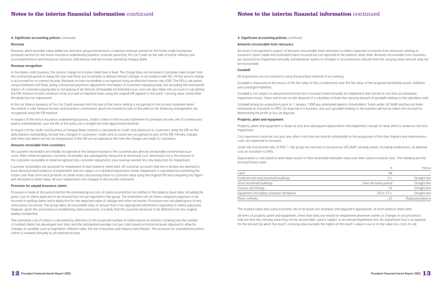

#### 4. Significant accounting policies continued

#### Amounts recoverable from reinsurers

An asset is recognised in respect of amounts recoverable from reinsurers to reflect expected recoveries from reinsurers relating to insurance claims made and estimated claims incurred but not reported at the balance sheet date. Amounts recoverable from reinsurers are assessed for impairment annually and whenever events or changes in circumstances indicate that the carrying value amount may not be recoverable.

### Goodwill

All acquisitions are accounted for using the purchase method of accounting.

Goodwill is measured as the excess of the fair value of the consideration over the fair value of the acquired identifiable assets, liabilities and contingent liabilities.

Goodwill is not subject to annual amortisation but is instead tested annually for impairment and carried at cost less accumulated impairment losses. Gains and losses on the disposal of a subsidiary include the carrying amount of goodwill relating to the subsidiary sold.

Goodwill arising on acquisitions prior to 1 January 1998 was eliminated against shareholders' funds under UK GAAP and has not been reinstated on transition to IFRS. On disposal of a business, any such goodwill relating to the business will not be taken into account in determining the profit or loss on disposal.

### Property, plant and equipment

Property, plant and equipment is shown at cost less subsequent depreciation and impairment, except for land, which is shown at cost less impairment.

Cost represents invoiced cost plus any other costs that are directly attributable to the acquisition of the item. Repairs and maintenance costs are expensed as incurred.

Under the transitional rules of IFRS 1, the group has elected to use previous UK GAAP carrying values, including revaluations, as deemed cost on transition to IFRS.

Depreciation is calculated to write down assets to their estimated realisable value over their useful economic lives. The following are the principal bases used:

|                                         | %                     | Method           |
|-----------------------------------------|-----------------------|------------------|
| Land                                    | Nil                   |                  |
| Freehold and long leasehold buildings   | $2\frac{1}{2}$        | Straight line    |
| Short leasehold buildings               | Over the lease period | Straight line    |
| Fixtures and fittings                   |                       | Straight line    |
| Equipment (including computer hardware) | $20$ to $33\%$        | Straight line    |
| Motor vehicles                          |                       | Reducing balance |

In the car finance business of Yes Car Credit revenue from the sale of the motor vehicle is recognised in the income statement when the vehicle is sold. Finance income and insurance commission, which are treated as part of the yield on the financing arrangement, are recognised using the EIR method.

The residual value and useful economic life of all assets are reviewed, and adjusted if appropriate, at each balance sheet date.

All items of property, plant and equipment, other than land, are tested for impairment whenever events or changes in circumstances indicate that the carrying value may not be recoverable. Land is subject to an annual impairment test. An impairment loss is recognised for the amount by which the asset's carrying value exceeds the higher of the asset's value in use or its fair value less costs to sell.

- 
- 

### 4. Significant accounting policies continued

#### Revenue

Revenue, which excludes value added tax and intra-group transactions, comprises revenue earned for the home credit businesses; premiums written for the motor insurance underwriting business; revenue earned by Yes Car Credit on the sale of motor vehicles and associated finance and insurance contracts; and interest and fee income earned by Vanquis Bank.

### Revenue recognition

In the home credit business, the service charge on a home credit loan is fixed. The charge does not increase if customers take longer than the contracted period to repay the loan and there are no penalty or default interest charges. In accordance with IAS 39 the service charge is accounted for as interest income. Revenue on loan receivables is recognised using an effective interest rate (EIR). The EIR is calculated using estimated cash flows, being contractual payments adjusted for the impact of customers repaying early, but excluding the anticipated impact of customers paying late or not paying at all. Directly attributable incremental issue costs are also taken into account in calculating the EIR. Interest income continues to be accrued on impaired loans using the original EIR applied to the loans' carrying value stated after the deduction for impairment.

In respect of the motor insurance underwriting business, credit is taken to the income statement for premium income, net of commissions paid to intermediaries, over the life of the policy on a straight line time apportioned method.

In respect of the credit card business of Vanquis Bank, interest is calculated on credit card advances to customers using the EIR on the daily balance outstanding. Annual fees charged to customers' credit card accounts are recognised as part of the EIR. Penalty charges and other fees which are not an integral part of the EIR are recognised at the time the charges are made to customers.

### Amounts receivable from customers

All customer receivables are initially recognised at the amount loaned to the customer plus directly attributable incremental issue costs. After initial recognition, customer receivables are subsequently measured at amortised cost. Amortised cost is the amount of the customer receivable at initial recognition less customer repayments, plus revenue earned, less any deduction for impairment.

Customer receivables are assessed for impairment at each balance sheet date. All customer accounts that are in arrears are deemed to have demonstrated evidence of impairment and are subject to a detailed impairment review. Impairment is calculated by estimating the future cash flows from each portfolio of similar loans, discounting these to a present value using the original EIR and comparing this figure with the balance sheet value. All such impairments are charged to the income statement.

### Provision for unpaid insurance claims

Provision is made at the period end for the estimated gross cost of claims incurred but not settled at the balance sheet date, including the gross cost of claims expected to be incurred but not yet reported to the group. The estimated cost of claims comprises expenses to be incurred in settling claims and a deduction for the expected value of salvage and other recoveries. Provisions are calculated gross of any reinsurance recoveries. The group takes all reasonable steps to ensure that it has appropriate information regarding its claims exposures. However, given the uncertainty in establishing claims provisions, it is likely that the outcome will prove to be different from the original liability established.

The estimated cost of claims is calculated by reference to the projected number of claims based on statistics showing how the number of notified claims has developed over time, and the anticipated average cost per claim based on historical levels adjusted to allow for changes in variables such as legislation, inflation rates, the mix of business and industry benchmarks. The provision for estimated insurance claims is reviewed annually by an external actuary.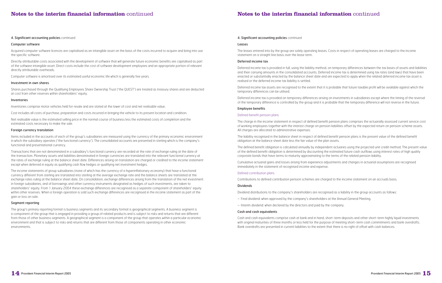#### 4. Significant accounting policies continued

#### Leases

The leases entered into by the group are solely operating leases. Costs in respect of operating leases are charged to the income statement on a straight line basis over the lease term.

#### Deferred income tax

Deferred income tax is provided in full, using the liability method, on temporary differences between the tax bases of assets and liabilities and their carrying amounts in the consolidated accounts. Deferred income tax is determined using tax rates (and laws) that have been enacted or substantially enacted by the balance sheet date and are expected to apply when the related deferred income tax asset is realised or the deferred income tax liability is settled.

Deferred income tax assets are recognised to the extent that it is probable that future taxable profit will be available against which the temporary differences can be utilised.

Deferred income tax is provided on temporary differences arising on investments in subsidiaries except where the timing of the reversal of the temporary difference is controlled by the group and it is probable that the temporary difference will not reverse in the future.

#### Employee benefits

#### Defined benefit pension plans

The charge in the income statement in respect of defined benefit pension plans comprises the actuarially assessed current service cost of working employees together with the interest charge on pension liabilities offset by the expected return on pension scheme assets. All charges are allocated to administrative expenses.

The liability recognised in the balance sheet in respect of defined benefit pension plans is the present value of the defined benefit obligation at the balance sheet date less the fair value of the plan assets.

The defined benefit obligation is calculated annually by independent actuaries using the projected unit credit method. The present value of the defined benefit obligation is determined by discounting the estimated future cash outflows using interest rates of high quality corporate bonds that have terms to maturity approximating to the terms of the related pension liability.

Cumulative actuarial gains and losses arising from experience adjustments and changes in actuarial assumptions are recognised immediately in the statement of recognised income and expense.

### Defined contribution plans

Contributions to defined contribution pension schemes are charged to the income statement on an accruals basis.

### Dividends

Dividend distributions to the company's shareholders are recognised as a liability in the group accounts as follows:

- Final dividend: when approved by the company's shareholders at the Annual General Meeting.
- Interim dividend: when declared by the directors and paid by the company.

#### Cash and cash equivalents

Cash and cash equivalents comprise cash at bank and in hand, short-term deposits and other short-term highly liquid investments with original maturities of three months or less held for the purpose of meeting short-term cash commitments and bank overdrafts. Bank overdrafts are presented in current liabilities to the extent that there is no right of offset with cash balances.



### 4. Significant accounting policies continued

#### Computer software

Acquired computer software licences are capitalised as an intangible asset on the basis of the costs incurred to acquire and bring into use the specific software.

Directly attributable costs associated with the development of software that will generate future economic benefits are capitalised as part of the software intangible asset. Direct costs include the cost of software development employees and an appropriate portion of relevant directly attributable overheads.

Computer software is amortised over its estimated useful economic life which is generally five years.

#### Investment in own shares

Shares purchased through the Qualifying Employees Share Ownership Trust ('the QUEST') are treated as treasury shares and are deducted at cost from other reserves within shareholders' equity.

#### Inventories

Inventories comprise motor vehicles held for resale and are stated at the lower of cost and net realisable value.

Cost includes all costs of purchase, preparation and costs incurred in bringing the vehicle to its present location and condition.

Net realisable value is the estimated selling price in the normal course of business less the estimated costs of completion and the estimated costs necessary to make the sale.

#### Foreign currency translation

Items included in the accounts of each of the group's subsidiaries are measured using the currency of the primary economic environment in which the subsidiary operates ('the functional currency'). The consolidated accounts are presented in sterling which is the company's functional and presentational currency.

Transactions that are not denominated in a subsidiary's functional currency are recorded at the rate of exchange ruling at the date of the transaction. Monetary assets and liabilities denominated in foreign currencies are translated into the relevant functional currency at the rates of exchange ruling at the balance sheet date. Differences arising on translation are charged or credited to the income statement except when deferred in equity as qualifying cash flow hedges or qualifying net investment hedges.

The income statements of group subsidiaries (none of which has the currency of a hyperinflationary economy) that have a functional currency different from sterling are translated into sterling at the average exchange rate and the balance sheets are translated at the exchange rates ruling at the balance sheet date. On consolidation, exchange differences arising from the translation of the net investment in foreign subsidiaries, and of borrowings and other currency instruments designated as hedges of such investments, are taken to shareholders' equity. From 1 January 2004 these exchange differences are recognised as a separate component of shareholders' equity within other reserves. When a foreign operation is sold such exchange differences are recognised in the income statement as part of the gain or loss on sale.

### Segment reporting

The group's primary reporting format is business segments and its secondary format is geographical segments. A business segment is a component of the group that is engaged in providing a group of related products and is subject to risks and returns that are different from those of other business segments. A geographical segment is a component of the group that operates within a particular economic environment and that is subject to risks and returns that are different from those of components operating in other economic environments.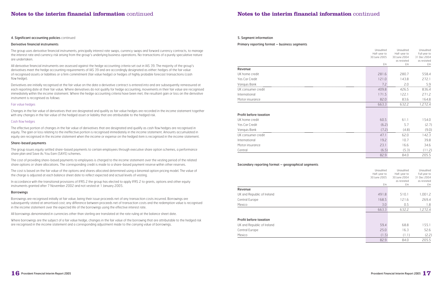#### 5. Segment information

Primary reporting format – business segments

#### Revenue

| UK home credit     | 281.6 | 2807 | 558.4 |
|--------------------|-------|------|-------|
| Yes Car Credit     | 210   | 438  | 272.1 |
| Vanguis Bank       |       |      | 5 9   |
| UK consumer credit | 409.8 | 1265 | 336.4 |
| International      | 1/1.5 | 221  | 271.2 |
| Motor insurance    | 82.1  | おろん  | 64 8  |

#### Profit before taxation

|                                                    | Unaudited<br>Half-year to<br>30 June 2005       | Unaudited<br>Half-year to<br>30 June 2004                      | Unaudited<br>Full year to<br>31 Dec 2004                      |
|----------------------------------------------------|-------------------------------------------------|----------------------------------------------------------------|---------------------------------------------------------------|
|                                                    | £m                                              | as restated<br>£m                                              | as restated<br>£m                                             |
| Revenue                                            |                                                 |                                                                |                                                               |
| UK home credit                                     | 281.6                                           | 280.7                                                          | 558.4                                                         |
| Yes Car Credit                                     | 121.0                                           | 143.8                                                          | 272.1                                                         |
| Vanquis Bank                                       | 7.2                                             | 2.0                                                            | 5.9                                                           |
| UK consumer credit                                 | 409.8                                           | 426.5                                                          | 836.4                                                         |
| International                                      | 171.5                                           | 122.1                                                          | 271.2                                                         |
| Motor insurance                                    | 82.0                                            | 83.6                                                           | 164.8                                                         |
|                                                    | 663.3                                           | 632.2                                                          | 1,272.4                                                       |
| Profit before taxation                             |                                                 |                                                                |                                                               |
| UK home credit                                     | 60.5                                            | 61.1                                                           | 154.0                                                         |
| Yes Car Credit                                     | (6.2)                                           | 5.7                                                            | (2.7)                                                         |
| Vanquis Bank                                       | (7.2)                                           | (4.8)                                                          | (9.0)                                                         |
| UK consumer credit                                 | 47.1                                            | 62.0                                                           | 142.3                                                         |
| International                                      | 19.2                                            | 10.7                                                           | 39.8                                                          |
| Motor insurance                                    | 23.1                                            | 16.6                                                           | 34.6                                                          |
| Central                                            | (6.5)                                           | (5.3)                                                          | (11.2)                                                        |
|                                                    | 82.9                                            | 84.0                                                           | 205.5                                                         |
| Secondary reporting format - geographical segments |                                                 |                                                                |                                                               |
|                                                    | Unaudited<br>Half-year to<br>30 June 2005<br>£m | Unaudited<br>Half-year to<br>30 June 2004<br>as restated<br>£m | Unaudited<br>Full year to<br>31 Dec 2004<br>as restated<br>£m |
| Revenue                                            |                                                 |                                                                |                                                               |
| UK and Republic of Ireland                         | 491.8                                           | 510.1                                                          | 1,001.2                                                       |
| Central Europe                                     | 168.5                                           | 121.6                                                          | 269.4                                                         |
| Mexico                                             | 3.0                                             | 0.5                                                            | 1.8                                                           |
|                                                    | 663.3                                           | 632.2                                                          | 1,272.4                                                       |
| Deafit hafara tawatia                              |                                                 |                                                                |                                                               |

| UK home credit     | 60.5  | 61.1 | 54.0  |
|--------------------|-------|------|-------|
| Yes Car Credit     | (6.2) |      | 2.7)  |
| Vanguis Bank       | 721   | 4.8) | '9.O) |
| UK consumer credit | 47.7  | 62 N | 423   |
| International      | 19.2  | 10.7 | 39.8  |
| Motor insurance    | 23.1  | 16.6 | 34.6  |
| Central            | (6.5) |      | -21   |

### Secondary reporting format – geographical segments

#### Revenue

#### Profit before taxation

| Profit before taxation     |       |      |       |
|----------------------------|-------|------|-------|
| UK and Republic of Ireland | 59.4  | 68.8 | 55.1  |
| Central Europe             | 25.0  | 16.3 | 52.6  |
| Mexico                     | (1.5) |      | (2.2) |
|                            | 82.9  | 84.0 | 205.5 |



### 4. Significant accounting policies continued

#### Derivative financial instruments

The group uses derivative financial instruments, principally interest rate swaps, currency swaps and forward currency contracts, to manage the interest rate and currency risk arising from the group's underlying business operations. No transactions of a purely speculative nature are undertaken.

All derivative financial instruments are assessed against the hedge accounting criteria set out in IAS 39. The majority of the group's derivatives meet the hedge accounting requirements of IAS 39 and are accordingly designated as either: hedges of the fair value of recognised assets or liabilities or a firm commitment (fair value hedge) or hedges of highly probable forecast transactions (cash flow hedge).

Derivatives are initially recognised at the fair value on the date a derivative contract is entered into and are subsequently remeasured at each reporting date at their fair value. Where derivatives do not qualify for hedge accounting, movements in their fair value are recognised immediately within the income statement. Where the hedge accounting criteria have been met, the resultant gain or loss on the derivative instrument is recognised as follows:

### Fair value hedges

Changes in the fair value of derivatives that are designated and qualify as fair value hedges are recorded in the income statement together with any changes in the fair value of the hedged asset or liability that are attributable to the hedged risk.

#### Cash flow hedges

The effective portion of changes in the fair value of derivatives that are designated and qualify as cash flow hedges are recognised in equity. The gain or loss relating to the ineffective portion is recognised immediately in the income statement. Amounts accumulated in equity are recognised in the income statement when the income or expense on the hedged item is recognised in the income statement.

#### Share-based payments

The group issues equity settled share-based payments to certain employees through executive share option schemes, a performance share plan and Save As You Earn (SAYE) schemes.

The cost of providing share-based payments to employees is charged to the income statement over the vesting period of the related share options or share allocations. The corresponding credit is made to a share-based payment reserve within other reserves.

The cost is based on the fair value of the options and shares allocated determined using a binomial option pricing model. The value of the charge is adjusted at each balance sheet date to reflect expected and actual levels of vesting.

In accordance with the transitional provisions of IFRS 2 the group has elected to apply IFRS 2 to grants, options and other equity instruments granted after 7 November 2002 and not vested at 1 January 2005.

#### Borrowings

Borrowings are recognised initially at fair value, being their issue proceeds net of any transaction costs incurred. Borrowings are subsequently stated at amortised cost; any difference between proceeds net of transaction costs and the redemption value is recognised in the income statement over the expected life of the borrowings using the effective interest rate.

All borrowings denominated in currencies other than sterling are translated at the rate ruling at the balance sheet date.

Where borrowings are the subject of a fair value hedge, changes in the fair value of the borrowing that are attributable to the hedged risk are recognised in the income statement and a corresponding adjustment made to the carrying value of borrowings.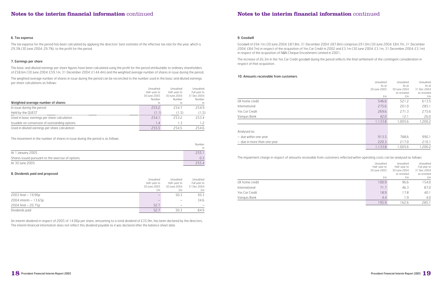## **Notes to the interim financial information** continued

### 9. Goodwill

Goodwill of £94.1m (30 June 2004: £87.8m, 31 December 2004: £87.8m) comprises £91.0m (30 June 2004: £84.7m, 31 December 2004: £84.7m) in respect of the acquisition of Yes Car Credit in 2002 and £3.1m (30 June 2004: £3.1m, 31 December 2004: £3.1m) in respect of the acquisition of N&N Cheque Encashment Limited in 2001.

The increase of £6.3m in the Yes Car Credit goodwill during the period reflects the final settlement of the contingent consideration in respect of that acquisition.

#### 10. Amounts receivable from customers

|                             | Unaudited    | Unaudited<br>As at                | Unaudited<br>As at<br>As at            |
|-----------------------------|--------------|-----------------------------------|----------------------------------------|
|                             | 30 June 2005 | 30 June 2004<br>as restated<br>£m | 31 Dec 2004<br>as restated<br>£m<br>£m |
| UK home credit              |              | 546.6                             | 613.5<br>521.2                         |
| International               |              | 275.6<br>201.0                    | 285.1                                  |
| Yes Car Credit              |              | 271.3<br>269.6                    | 275.6                                  |
| Vanquis Bank                |              | 42.0                              | 26.0<br>12.1                           |
|                             |              | 1,133.8<br>1,005.6                | 1,200.2                                |
| Analysed as:                |              |                                   |                                        |
| - due within one year       |              | 913.5                             | 788.6<br>990.1                         |
| - due in more than one year |              | 220.3<br>217.0                    | 210.1                                  |
|                             |              | 1,133.8<br>1.005.6                | 1.200.2                                |

The impairment charge in respect of amounts receivable from customers reflected within operating costs can be analysed as follows:

|                | Unaudited<br>Half-year to<br>30 June 2005<br>£m | Unaudited<br>Half-year to<br>30 June 2004<br>as restated<br>£m | Unaudited<br>Full year to<br>31 Dec 2004<br>as restated<br>£m |
|----------------|-------------------------------------------------|----------------------------------------------------------------|---------------------------------------------------------------|
| UK home credit | 100.9                                           | 96.6                                                           | 154.0                                                         |
| International  | 71.7                                            | 46.3                                                           | 87.0                                                          |
| Yes Car Credit | 18.9                                            | 17.8                                                           | 40.1                                                          |
| Vanquis Bank   | 4.4                                             | 1.9                                                            | 4.0                                                           |
|                | 195.9                                           | 162.6                                                          | 285.1                                                         |

#### 6. Tax expense

The tax expense for the period has been calculated by applying the directors' best estimate of the effective tax rate for the year, which is 29.3% (30 June 2004: 29.7%), to the profit for the period.

#### 7. Earnings per share

The basic and diluted earnings per share figures have been calculated using the profit for the period attributable to ordinary shareholders of £58.6m (30 June 2004: £59.1m, 31 December 2004: £144.4m) and the weighted average number of shares in issue during the period.

The weighted average number of shares in issue during the period can be reconciled to the number used in the basic and diluted earnings per share calculations as follows:

|                                                | Unaudited    | Unaudited    | Unaudited    |
|------------------------------------------------|--------------|--------------|--------------|
|                                                | Half-year to | Half-year to | Full year to |
|                                                | 30 June 2005 | 30 June 2004 | 31 Dec 2004  |
|                                                | Number       | Number       | Number       |
| Weighted average number of shares              | m            |              | m            |
| In issue during the period                     | 2552         | 2547         | 254.9        |
| Held by the QUEST                              | (11)         | (15)         | (1.5)        |
| Used in basic earnings per share calculation   | 2541         | 2532         | 2534         |
| Issuable on conversion of outstanding options  | $\cdot$      | 1.3          |              |
| Used in diluted earnings per share calculation | 2555         | 2545         | 254 R        |

The movement in the number of shares in issue during the period is as follows:

|                                                   | Number |
|---------------------------------------------------|--------|
|                                                   | m      |
| At 1 January 2005                                 |        |
| Shares issued pursuant to the exercise of options |        |
| At 30 June 2005                                   |        |

#### 8. Dividends paid and proposed

|                          | Unaudited<br>Half-year to<br>30 June 2005 | Unaudited<br>Half-year to<br>30 June 2004 | Unaudited<br>Full year to<br>31 Dec 2004 |
|--------------------------|-------------------------------------------|-------------------------------------------|------------------------------------------|
|                          | £m                                        | £m                                        | £m                                       |
| $2003$ final $-19.90p$   | $\overline{\phantom{0}}$                  | 50.3                                      | 50.3                                     |
| $2004$ interim $-13.65p$ |                                           |                                           | 34.6                                     |
| $2004$ final $- 20.75p$  | 52.7                                      |                                           |                                          |
| Dividends paid           | 52.7                                      | 50.3                                      | 84.9                                     |

An interim dividend in respect of 2005 of 14.06p per share, amounting to a total dividend of £35.9m, has been declared by the directors. The interim financial information does not reflect this dividend payable as it was declared after the balance sheet date.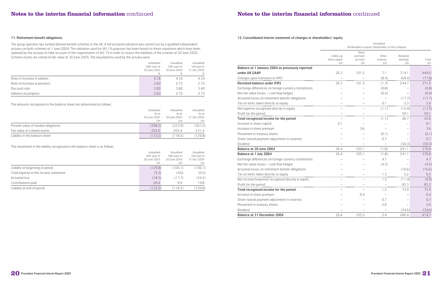

#### 12. Consolidated interim statement of changes in shareholders' equity

Unaudited Attributable to equity shareholders of the company

|                                                       |                                  |                                   | Attributable to equity shareholders of the company |                            |             |
|-------------------------------------------------------|----------------------------------|-----------------------------------|----------------------------------------------------|----------------------------|-------------|
|                                                       | Called-up<br>share capital<br>£m | Share<br>premium<br>account<br>£m | Other<br>reserves<br>£m                            | Retained<br>earnings<br>£m | Total<br>£m |
| Balance at 1 January 2004 as previously reported      |                                  |                                   |                                                    |                            |             |
| under UK GAAP                                         | 26.3                             | 101.5                             | 7.1                                                | 314.1                      | 449.0       |
| Changes upon transition to IFRS                       |                                  |                                   | (8.4)                                              | (69.4)                     | (77.8)      |
| <b>Restated balance under IFRS</b>                    | 26.3                             | 101.5                             | (1.3)                                              | 244.7                      | 371.2       |
| Exchange differences on foreign currency translations |                                  |                                   | (0.8)                                              |                            | (0.8)       |
| Net fair value losses - cash flow hedges              |                                  |                                   | (0.4)                                              | $\qquad \qquad -$          | (0.4)       |
| Actuarial losses on retirement benefit obligations    |                                  |                                   | $=$                                                | (17.7)                     | (17.7)      |
| Tax on items taken directly to equity                 |                                  |                                   | 0.1                                                | 5.3                        | 5.4         |
| Net expense recognised directly in equity             |                                  |                                   | (1.1)                                              | (12.4)                     | (13.5)      |
| Profit for the period                                 |                                  |                                   | $\overline{\phantom{0}}$                           | 59.1                       | 59.1        |
| Total recognised income for the period                | $\equiv$                         |                                   | (1.1)                                              | 46.7                       | 45.6        |
| Increase in share capital                             | 0.1                              |                                   |                                                    |                            | 0.1         |
| Increase in share premium                             |                                  | 3.6                               |                                                    |                            | 3.6         |
| Movement in treasury shares                           |                                  |                                   | (0.1)                                              |                            | (0.1)       |
| Share-based payment adjustment to reserves            |                                  |                                   | 0.7                                                |                            | 0.7         |
| Dividend                                              |                                  | $\overline{\phantom{0}}$          | $\equiv$                                           | (50.3)                     | (50.3)      |
| Balance at 30 June 2004                               | 26.4                             | 105.1                             | (1.8)                                              | 241.1                      | 370.8       |
| Balance at 1 July 2004                                | 26.4                             | 105.1                             | (1.8)                                              | 241.1                      | 370.8       |
| Exchange differences on foreign currency translations |                                  |                                   | 4.7                                                |                            | 4.7         |
| Net fair value losses - cash flow hedges              |                                  |                                   | (4.5)                                              | $\overline{\phantom{0}}$   | (4.5)       |
| Actuarial losses on retirement benefit obligations    |                                  |                                   | $\equiv$                                           | (16.6)                     | (16.6)      |
| Tax on items taken directly to equity                 |                                  |                                   | 1.3                                                | 5.2                        | 6.5         |
| Net income/(expense) recognised directly in equity    |                                  |                                   | 1.5                                                | (11.4)                     | (9.9)       |
| Profit for the period                                 |                                  |                                   |                                                    | 85.3                       | 85.3        |
| Total recognised income for the period                |                                  |                                   | 1.5                                                | 73.9                       | 75.4        |
| Increase in share premium                             |                                  | 0.4                               | $\qquad \qquad -$                                  |                            | 0.4         |
| Share-based payment adjustment to reserves            |                                  |                                   | 0.7                                                |                            | 0.7         |
| Movement in treasury shares                           |                                  |                                   | 2.0                                                |                            | 2.0         |
| Dividend                                              |                                  |                                   |                                                    | (34.6)                     | (34.6)      |
| Balance at 31 December 2004                           | 26.4                             | 105.5                             | 2.4                                                | 280.4                      | 414.7       |

#### 11. Retirement benefit obligations

The group operates two funded defined benefit schemes in the UK. A full actuarial valuation was carried out by a qualified independent actuary on both schemes at 1 June 2004. The valuation used for IAS 19 purposes has been based on these valuations which have been updated by the actuary to take account of the requirements of IAS 19 in order to assess the liabilities of the scheme at 30 June 2005. Scheme assets are stated at fair value at 30 June 2005. The assumptions used by the actuary were:

|                              | Unaudited    | Unaudited    | Unaudited    |
|------------------------------|--------------|--------------|--------------|
|                              | Half-year to | Half-year to | Full year to |
|                              | 30 June 2005 | 30 June 2004 | 31 Dec 2004  |
|                              | %            | %            |              |
| Rate of increase in salaries | 4.18         | 4.34         | 4.34         |
| Rate of increase in pensions | 2.60         | 2.75         | 2.75         |
| Discount rate                | 5.00         | 5.80         | 5.40         |
| Inflation assumption         | 2.60         | 2.75         | 2.75         |

The amounts recognised in the balance sheet are determined as follows:

|                                     | Unaudited<br>As at | Unaudited<br>As at | Unaudited<br>As at |
|-------------------------------------|--------------------|--------------------|--------------------|
|                                     | 30 June 2005       | 30 June 2004       | 31 Dec 2004        |
|                                     | fm                 | fm                 | £m                 |
| Present value of funded obligations | (398.2)            | (323.9)            | (361.2)            |
| Fair value of scheme assets         | 2650               | 2054               | 231.4              |
| Liability in the balance sheet      | (133.2)            | (118.5)            | (129.8)            |

The movement in the liability recognised in the balance sheet is as follows:

|                                       | Unaudited    | Unaudited                    | Unaudited   |  |
|---------------------------------------|--------------|------------------------------|-------------|--|
|                                       | Half-year to | Full year to<br>Half-year to |             |  |
|                                       | 30 June 2005 | 30 June 2004                 | 31 Dec 2004 |  |
|                                       | £m           | £m                           | £m          |  |
| Liability at beginning of period      | (129.8)      | (106.1)                      | (106.1)     |  |
| Total expense in the income statement | (5.3)        | (4.6)                        | (9.2)       |  |
| Actuarial loss                        | (18.5)       | (17.7)                       | (34.3)      |  |
| Contributions paid                    | 20.4         | 9.9                          | 19.8        |  |
| Liability at end of period            | (133.2)      | (118.5)                      | (129.8)     |  |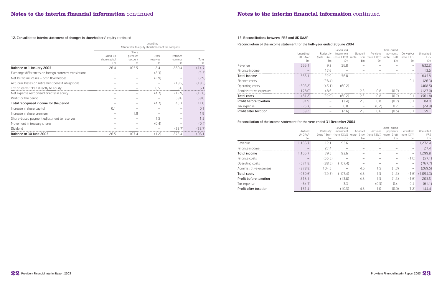

#### 13. Reconciliations between IFRS and UK GAAP

#### Reconciliation of the income statement for the half-year ended 30 June 2004

|                               |           |              | Revenue &           |          |                               | Share-based  |                          |             |
|-------------------------------|-----------|--------------|---------------------|----------|-------------------------------|--------------|--------------------------|-------------|
|                               | Unaudited | Reclassify   | impairment          | Goodwill | Pensions                      | payments     | Derivatives              | Unaudited   |
|                               | UK GAAP   | (note 13(a)) | l 3(b)).<br>(note 1 |          | $(note 13(c))$ $(note 13(d))$ | (note 13(e)) | (note 13(f))             | <b>IFRS</b> |
|                               | £m        | £m           | £m                  | £m       | £m                            | £m           | £m                       | £m          |
| Revenue                       | 566.1     | 9.3          | 56.8                |          |                               |              | –                        | 632.2       |
| Finance income                |           | 3.6          |                     |          |                               |              |                          | 13.6        |
| <b>Total income</b>           | 566.1     | 22 9         | 56.8                |          |                               |              |                          | 645.8       |
| Finance costs                 |           | (26.4)       |                     |          |                               |              | 0.1                      | (26.3)      |
| Operating costs               | (303.2)   | (45.1)       | (60.2)              |          |                               |              | $\overline{\phantom{m}}$ | (408.5)     |
| Administrative expenses       | 78.0      | 48.6         |                     | 2.3      | 0.8                           |              |                          | 127.0       |
| <b>Total costs</b>            | (481.2)   | (22.9)       | (60.2)              | 2.3      | 0.8                           | (0.7)        | 0.                       | (561.8)     |
| <b>Profit before taxation</b> | 84.9      |              | (3.4)               | 2.3      | 0.8                           | (0.7)        | U .                      | 84.0        |
| Tax expense                   | (25.7)    |              | 0.8                 |          | (0.2)                         | 0.2          | $\overline{\phantom{0}}$ | (24.9)      |
| <b>Profit after taxation</b>  | 59.2      |              | (2.6)               | 2.3      | 0.6                           | (0.5)        |                          | 59.1        |

### Reconciliation of the income statement for the year ended 31 December 2004

|                               |                    |                            | Revenue &                  |          |                                           | Share-based                    |                             |                          |
|-------------------------------|--------------------|----------------------------|----------------------------|----------|-------------------------------------------|--------------------------------|-----------------------------|--------------------------|
|                               | Audited<br>UK GAAP | Reclassify<br>(note 13(a)) | impairment<br>(note 13(b)) | Goodwill | Pensions<br>$(note 13(c))$ $(note 13(d))$ | payments<br>l 3(e))<br>(note 1 | Derivatives<br>(note 13(f)) | Unaudited<br><b>IFRS</b> |
|                               | £m                 | £m                         | £m                         | £m       | £m                                        | £m                             | £m                          | £m                       |
| Revenue                       | 1,166.7            | 12.1                       | 93.6                       |          |                                           |                                | $\overline{\phantom{m}}$    | ,272.4                   |
| Finance income                |                    | 27.4                       |                            |          |                                           |                                |                             | 274                      |
| Total income                  | 1,166.7            | 39.5                       | 93.6                       |          |                                           |                                |                             | ,299.8                   |
| Finance costs                 |                    | (55.5)                     |                            |          |                                           |                                | (1.6)                       | (57.1)                   |
| Operating costs               | .8.<br>(5/1)       | (88.5)                     | (107.4)                    |          |                                           |                                | $\overline{\phantom{m}}$    | (767.7)                  |
| Administrative expenses       | (378.8)            | 1045                       |                            | 4.6      |                                           | $\mathcal{S}$                  |                             | (269.5)                  |
| <b>Total costs</b>            | (950.6)            | (39.5)                     | (107.4)                    | 4.6      | 1.5                                       | (1.3)                          | (1.6)                       | (1,094.3)                |
| <b>Profit before taxation</b> | 216.1              |                            | 13.8                       | 4.6      | 1.5                                       | 1.3)                           | (1.6)                       | 205.5                    |
| Tax expense                   | (64.7)             |                            | 3.3                        |          | (0.5)                                     | 0.4                            | 0.4                         | (61.1)                   |
| <b>Profit after taxation</b>  | 51.4               |                            | (0.5)                      | 4.6      | $\cap$                                    | (0.9)                          | (1.2)                       | 144.4                    |

### 12. Consolidated interim statement of changes in shareholders' equity continued

|                                                       | Unaudited<br>Attributable to equity shareholders of the company |                                   |                                |                            |             |  |  |  |
|-------------------------------------------------------|-----------------------------------------------------------------|-----------------------------------|--------------------------------|----------------------------|-------------|--|--|--|
|                                                       | Called-up<br>share capital<br>£m                                | Share<br>premium<br>account<br>fm | <b>Other</b><br>reserves<br>£m | Retained<br>earnings<br>fm | Total<br>£m |  |  |  |
| Balance at 1 January 2005                             | 26.4                                                            | 105.5                             | 2.4                            | 280.4                      | 414.7       |  |  |  |
| Exchange differences on foreign currency translations |                                                                 |                                   | (2.3)                          |                            | (2.3)       |  |  |  |
| Net fair value losses - cash flow hedges              |                                                                 |                                   | (2.9)                          |                            | (2.9)       |  |  |  |
| Actuarial losses on retirement benefit obligations    |                                                                 |                                   |                                | (18.5)                     | (18.5)      |  |  |  |
| Tax on items taken directly to equity                 |                                                                 |                                   | 0.5                            | 5.6                        | 61          |  |  |  |
| Net expense recognised directly in equity             |                                                                 |                                   | (4.7)                          | (12.9)                     | (17.6)      |  |  |  |
| Profit for the period                                 |                                                                 |                                   |                                | 58.6                       | 58.6        |  |  |  |
| Total recognised income for the period                |                                                                 |                                   | (4.7)                          | 457                        | 41 N        |  |  |  |
| Increase in share capital                             |                                                                 |                                   |                                |                            | N 1         |  |  |  |
| Increase in share premium                             |                                                                 | $\cdot$ 9                         |                                |                            | . 9         |  |  |  |
| Share-based payment adjustment to reserves            |                                                                 |                                   | 15                             |                            | - 5         |  |  |  |
| Movement in treasury shares                           |                                                                 |                                   | (0.4)                          |                            | (0.4)       |  |  |  |
| Dividend                                              |                                                                 |                                   |                                | (52.7)                     | (52.7)      |  |  |  |
| Balance at 30 June 2005                               | 26.5                                                            | 1074                              | (1.2)                          | 273.4                      | 406.1       |  |  |  |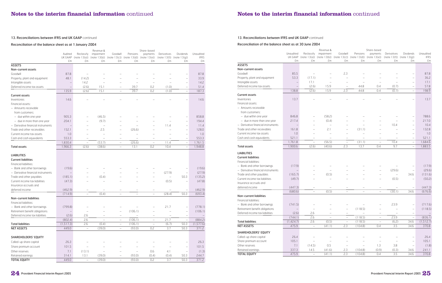#### 13. Reconciliations between IFRS and UK GAAP continued

#### Reconciliation of the balance sheet as at 30 June 2004

|                                    |                      |                          | Revenue &                |                          |                                                                   | Share-based                                          |                          |                                     |                   |
|------------------------------------|----------------------|--------------------------|--------------------------|--------------------------|-------------------------------------------------------------------|------------------------------------------------------|--------------------------|-------------------------------------|-------------------|
|                                    | Unaudited            | Reclassify               | impairment               | Goodwill                 | Pensions                                                          | payments                                             | Derivatives              | Dividends                           | Unaudited         |
|                                    | UK GAAP<br>£m        | (note $13(a)$ )<br>£m    | £m                       | £m                       | $(note 13(b))$ (note $13(c))$ (note $13(d))$ (note $13(e))$<br>£m | £m                                                   | £m                       | $(note 13(f))$ (note $13(g))$<br>£m | <b>IFRS</b><br>£m |
| <b>ASSETS</b>                      |                      |                          |                          |                          |                                                                   |                                                      |                          |                                     |                   |
| Non-current assets                 |                      |                          |                          |                          |                                                                   |                                                      |                          |                                     |                   |
| Goodwill                           | 85.5                 |                          |                          | 2.3                      |                                                                   |                                                      |                          | —                                   | 87.8              |
| Property, plant and equipment      | 53.3                 | (17.1)                   |                          | $\overline{\phantom{0}}$ |                                                                   |                                                      |                          | $\overline{\phantom{0}}$            | 36.2              |
| Intangible assets                  | $\qquad \qquad -$    | 17.1                     |                          | $\overline{\phantom{0}}$ | $\overline{\phantom{0}}$                                          | $\overline{\phantom{0}}$                             |                          | $\overline{\phantom{m}}$            | 17.1              |
| Deferred income tax assets         |                      | (2.6)                    | 15.9                     |                          | 44.8                                                              | 0.4                                                  | (0.7)                    | $\overline{\phantom{0}}$            | 57.8              |
|                                    | 138.8                | (2.6)                    | 15.9                     | 2.3                      | 44.8                                                              | 0.4                                                  | (0.7)                    | $\qquad \qquad -$                   | 198.9             |
| <b>Current assets</b>              |                      |                          |                          |                          |                                                                   |                                                      |                          |                                     |                   |
| Inventories                        | 13.7                 |                          |                          |                          |                                                                   |                                                      |                          |                                     | 13.7              |
| Financial assets:                  |                      |                          |                          |                          |                                                                   |                                                      |                          |                                     |                   |
| - Amounts receivable               |                      |                          |                          |                          |                                                                   |                                                      |                          |                                     |                   |
| from customers:                    |                      |                          |                          |                          |                                                                   |                                                      |                          |                                     |                   |
| - due within one year              | 846.8                |                          | (58.2)                   |                          |                                                                   |                                                      |                          | $\qquad \qquad -$                   | 788.6             |
| - due in more than one year        | 217.4                |                          | (0.4)                    |                          |                                                                   |                                                      |                          | $\overline{\phantom{0}}$            | 217.0             |
| - Derivative financial instruments |                      |                          | $\overline{\phantom{0}}$ |                          |                                                                   |                                                      | 10.4                     | $\overline{\phantom{0}}$            | 10.4              |
| Trade and other receivables        | 161.8                |                          | 2.1                      |                          | (31.1)                                                            |                                                      |                          | $\overline{\phantom{0}}$            | 132.8             |
| Current income tax assets          | 1.0                  |                          | $\overline{\phantom{0}}$ | $\overline{\phantom{0}}$ | $\overline{\phantom{0}}$                                          | $\overline{\phantom{0}}$                             |                          |                                     | 1.0               |
| Cash and cash equivalents          | 521.1                | $\overline{\phantom{0}}$ |                          |                          |                                                                   |                                                      |                          | $\overline{\phantom{m}}$            | 521.1             |
|                                    | 1,761.8              | $\overline{\phantom{0}}$ | (56.5)                   | $\overline{\phantom{0}}$ | (31.1)                                                            | $\overline{\phantom{0}}$                             | 10.4                     | $\overline{\phantom{0}}$            | 1,684.6           |
| <b>Total assets</b>                | 1,900.6              | (2.6)                    | (40.6)                   | 2.3                      | 13.7                                                              | 0.4                                                  | 9.7                      | $\qquad \qquad -$                   | 1,883.5           |
|                                    |                      |                          |                          |                          |                                                                   |                                                      |                          |                                     |                   |
| <b>LIABILITIES</b>                 |                      |                          |                          |                          |                                                                   |                                                      |                          |                                     |                   |
| <b>Current liabilities</b>         |                      |                          |                          |                          |                                                                   |                                                      |                          |                                     |                   |
| Financial liabilities:             |                      |                          |                          |                          |                                                                   |                                                      |                          |                                     |                   |
| - Bank and other borrowings        | (17.9)               |                          |                          |                          |                                                                   |                                                      |                          | $\qquad \qquad -$                   | (17.9)            |
| - Derivative financial instruments |                      |                          |                          |                          |                                                                   | $\overline{\phantom{0}}$                             | (29.6)                   | $\qquad \qquad -$                   | (29.6)            |
| Trade and other payables           | (165.7)              | $\overline{\phantom{0}}$ | (0.5)                    |                          |                                                                   | $\overline{\phantom{0}}$                             | $\overline{a}$           | 34.6                                | (131.6)           |
| Current income tax liabilities     | (49.7)               |                          |                          |                          |                                                                   |                                                      | (0.5)                    | $\overline{\phantom{0}}$            | (50.2)            |
| Insurance accruals and             |                      |                          |                          |                          |                                                                   |                                                      |                          |                                     |                   |
| deferred income                    | (447.3)              | $\overline{\phantom{0}}$ | $\overline{\phantom{0}}$ | $\overline{\phantom{0}}$ |                                                                   | $\overline{\phantom{m}}$                             |                          | $\overline{\phantom{0}}$            | (447.3)           |
|                                    | (680.6)              | $\qquad \qquad -$        | (0.5)                    | $\overline{\phantom{0}}$ | $\overline{\phantom{0}}$                                          | $\overline{\phantom{m}}$                             | (30.1)                   | 34.6                                | (676.6)           |
| Non-current liabilities            |                      |                          |                          |                          |                                                                   |                                                      |                          |                                     |                   |
| Financial liabilities:             |                      |                          |                          |                          |                                                                   |                                                      |                          |                                     |                   |
| - Bank and other borrowings        | (741.5)              |                          |                          |                          | (118.5)                                                           |                                                      | 23.9                     | $\overline{\phantom{0}}$            | (717.6)           |
| Retirement benefit obligations     |                      |                          |                          | $\overline{\phantom{0}}$ |                                                                   | $\overline{\phantom{0}}$                             | $\overline{\phantom{0}}$ | $\qquad \qquad -$                   | (118.5)           |
| Deferred income tax liabilities    | (2.6)                | 2.6                      | $\overline{\phantom{0}}$ | $\qquad \qquad -$        | $\qquad \qquad -$                                                 | $\overline{\phantom{0}}$                             |                          | $\overline{\phantom{0}}$            |                   |
|                                    | (744.1)<br>(1.424.7) | 2.6<br>2.6               | $\qquad \qquad -$        | $\qquad \qquad -$        | (118.5)                                                           | $\overline{\phantom{m}}$<br>$\overline{\phantom{0}}$ | 23.9<br>(6.2)            | $\overline{\phantom{0}}$            | (836.1)           |
| <b>Total liabilities</b>           |                      |                          | (0.5)                    | $\overline{\phantom{0}}$ | (118.5)                                                           |                                                      |                          | 34.6                                | (1, 512.7)        |
| <b>NET ASSETS</b>                  | 475.9                | $\overline{\phantom{0}}$ | (41.1)                   | 2.3                      | (104.8)                                                           | 0.4                                                  | 3.5                      | 34.6                                | 370.8             |
| SHAREHOLDERS' EQUITY               |                      |                          |                          |                          |                                                                   |                                                      |                          |                                     |                   |
| Called-up share capital            | 26.4                 |                          | $\qquad \qquad -$        |                          |                                                                   |                                                      |                          | $\overline{\phantom{0}}$            | 26.4              |
| Share premium account              | 105.1                | $\overline{\phantom{0}}$ | $\qquad \qquad -$        | $\overline{\phantom{0}}$ | $\overline{\phantom{0}}$                                          | $\qquad \qquad -$                                    | $\overline{\phantom{m}}$ | $\overline{\phantom{0}}$            | 105.1             |
| Other reserves                     | 7.1                  | (14.5)                   | 0.5                      | $\overline{\phantom{a}}$ | $\overline{\phantom{0}}$                                          | 1.3                                                  | 3.8                      | $\bar{\phantom{0}}$                 | (1.8)             |
| Retained earnings                  | 337.3                | $14.5$                   | (41.6)                   | 2.3                      | (104.8)                                                           | (0.9)                                                | (0.3)                    | 34.6                                | 241.1             |
| <b>TOTAL EQUITY</b>                | 475.9                | $\qquad \qquad -$        | (41.1)                   | 2.3                      | (104.8)                                                           | 0.4                                                  | 3.5                      | 34.6                                | 370.8             |



### Reconciliation of the balance sheet as at 1 January 2004

|                                    |                          |                          | Revenue &                |                                                    |                          | Share-based              |                          |                                 |                   |
|------------------------------------|--------------------------|--------------------------|--------------------------|----------------------------------------------------|--------------------------|--------------------------|--------------------------|---------------------------------|-------------------|
|                                    | Audited                  | Reclassify               | impairment               | Goodwill                                           | Pensions                 | payments                 | Derivatives              | Dividends                       | Unaudited         |
|                                    | UK GAAP<br>£m            | (note 13(a))<br>£m       | £m                       | $(note 13(b))$ (note $13(c))$ (note $13(d))$<br>£m | £m                       | (note $13(e)$ )<br>£m    | £m                       | (note 13(f)) (note 13(g))<br>£m | <b>IFRS</b><br>£m |
| <b>ASSETS</b>                      |                          |                          |                          |                                                    |                          |                          |                          |                                 |                   |
| Non-current assets                 |                          |                          |                          |                                                    |                          |                          |                          |                                 |                   |
| Goodwill                           | 87.8                     |                          |                          |                                                    |                          |                          |                          | $\overline{\phantom{0}}$        | 87.8              |
| Property, plant and equipment      | 48.1                     | (14.2)                   |                          |                                                    |                          |                          |                          | $\qquad \qquad -$               | 33.9              |
| Intangible assets                  | $\overline{\phantom{0}}$ | 14.2                     |                          |                                                    |                          |                          |                          | $\qquad \qquad -$               | 14.2              |
| Deferred income tax assets         |                          | (2.6)                    | 15.1                     |                                                    | 39.7                     | 0.2                      | (1.0)                    | $\overline{\phantom{0}}$        | 51.4              |
|                                    | 135.9                    | (2.6)                    | 15.1                     |                                                    | 39.7                     | 0.2                      | (1.0)                    | $\overline{\phantom{0}}$        | 187.3             |
| <b>Current assets</b>              |                          |                          |                          |                                                    |                          |                          |                          |                                 |                   |
| Inventories                        | 14.6                     |                          |                          |                                                    |                          |                          |                          |                                 | 14.6              |
| Financial assets:                  |                          |                          |                          |                                                    |                          |                          |                          |                                 |                   |
| - Amounts receivable               |                          |                          |                          |                                                    |                          |                          |                          |                                 |                   |
| from customers:                    |                          |                          |                          |                                                    |                          |                          |                          |                                 |                   |
| - due within one year              | 905.3                    |                          | (46.5)                   |                                                    |                          |                          |                          | $\overline{\phantom{0}}$        | 858.8             |
| - due in more than one year        | 204.1                    |                          | (9.7)                    |                                                    |                          |                          |                          | $\overline{\phantom{0}}$        | 194.4             |
| - Derivative financial instruments | $\overline{\phantom{m}}$ |                          | $\qquad \qquad -$        |                                                    |                          |                          | 11.4                     | $\overline{\phantom{0}}$        | 11.4              |
| Trade and other receivables        | 152.1                    | $\overline{\phantom{0}}$ | 2.5                      | $\overline{\phantom{a}}$                           | (26.6)                   |                          |                          | $\overline{\phantom{0}}$        | 128.0             |
| Current income tax assets          | 1.0                      |                          | $\overline{\phantom{0}}$ |                                                    | $\overline{\phantom{0}}$ | $\overline{\phantom{0}}$ |                          | $\overline{\phantom{0}}$        | 1.0               |
| Cash and cash equivalents          | 553.3                    |                          |                          |                                                    |                          |                          |                          | $\overline{\phantom{0}}$        | 553.3             |
|                                    | 1,830.4                  | $\overline{\phantom{0}}$ | (53.7)                   | <br>$\overline{\phantom{0}}$                       | (26.6)                   |                          | 11.4                     | $\qquad \qquad -$               | 1,761.5           |
| <b>Total assets</b>                | 1,966.3                  | (2.6)                    | (38.6)                   | $\overline{\phantom{0}}$                           | 13.1                     | 0.2                      | 10.4                     | $\qquad \qquad -$               | 1,948.8           |
|                                    |                          |                          |                          |                                                    |                          |                          |                          |                                 |                   |
| <b>LIABILITIES</b>                 |                          |                          |                          |                                                    |                          |                          |                          |                                 |                   |
| <b>Current liabilities</b>         |                          |                          |                          |                                                    |                          |                          |                          |                                 |                   |
| Financial liabilities:             |                          |                          |                          |                                                    |                          |                          |                          |                                 |                   |
| - Bank and other borrowings        | (19.6)                   |                          |                          |                                                    |                          |                          |                          |                                 | (19.6)            |
| - Derivative financial instruments | $\qquad \qquad -$        |                          |                          |                                                    |                          |                          | (27.9)                   | $\overline{\phantom{0}}$        | (27.9)            |
| Trade and other payables           | (185.1)                  |                          | (0.4)                    |                                                    |                          |                          | $\overline{\phantom{m}}$ | 50.3                            | (135.2)           |
| Current income tax liabilities     | (47.3)                   |                          | $\overline{\phantom{0}}$ |                                                    |                          | $\overline{\phantom{0}}$ | (0.5)                    | $\overline{\phantom{0}}$        | (47.8)            |
| Insurance accruals and             |                          |                          |                          |                                                    |                          |                          |                          |                                 |                   |
| deferred income                    | (462.9)                  |                          |                          |                                                    |                          |                          |                          |                                 | (462.9)           |
|                                    | (714.9)                  | $\overline{\phantom{0}}$ | (0.4)                    | $\overline{\phantom{0}}$                           |                          |                          | (28.4)                   | 50.3                            | (693.4)           |
| Non-current liabilities            |                          |                          |                          |                                                    |                          |                          |                          |                                 |                   |
| Financial liabilities:             |                          |                          |                          |                                                    |                          |                          |                          |                                 |                   |
| - Bank and other borrowings        | (799.8)                  |                          |                          |                                                    |                          |                          | 21.7                     | $\overline{\phantom{0}}$        | (778.1)           |
| Retirement benefit obligations     | $\qquad \qquad -$        | $\overline{\phantom{0}}$ |                          | $\overline{\phantom{0}}$                           | (106.1)                  | $\overline{\phantom{0}}$ | $\overline{\phantom{a}}$ | $\qquad \qquad -$               | (106.1)           |
| Deferred income tax liabilities    | (2.6)                    | 2.6                      |                          |                                                    |                          |                          |                          |                                 |                   |
|                                    | (802.4)                  | 2.6                      |                          |                                                    | (106.1)                  |                          | 21.7                     |                                 | (884.2)           |
| <b>Total liabilities</b>           | (1,517.3)                | 2.6                      | (0.4)                    |                                                    | (106.1)                  |                          | (6.7)                    | 50.3                            | (1,577.6)         |
| <b>NET ASSETS</b>                  | 449.0                    | $\qquad \qquad -$        | (39.0)                   | $\qquad \qquad -$                                  | (93.0)                   | 0.2                      | 3.7                      | 50.3                            | 371.2             |
|                                    |                          |                          |                          |                                                    |                          |                          |                          |                                 |                   |
| SHAREHOLDERS' EQUITY               |                          |                          |                          |                                                    |                          |                          |                          |                                 |                   |
|                                    |                          |                          |                          |                                                    |                          |                          |                          |                                 |                   |
| Called-up share capital            | 26.3                     |                          |                          |                                                    |                          |                          |                          | $\qquad \qquad -$               | 26.3              |
| Share premium account              | 101.5                    |                          |                          |                                                    |                          |                          |                          | $\qquad \qquad -$               | 101.5             |
| Other reserves                     | 7.1                      | (13.1)                   |                          |                                                    |                          | 0.6                      | 4.1                      | $\qquad \qquad -$               | (1.3)             |
| Retained earnings                  | 314.1                    | 13.1                     | (39.0)                   | $\qquad \qquad -$                                  | (93.0)                   | (0.4)                    | (0.4)                    | 50.3                            | 244.7             |
| <b>TOTAL EQUITY</b>                | 449.0                    | $\qquad \qquad -$        | (39.0)                   | $\qquad \qquad -$                                  | (93.0)                   | 0.2                      | 3.7                      | 50.3                            | 371.2             |

#### 13. Reconciliations between IFRS and UK GAAP continued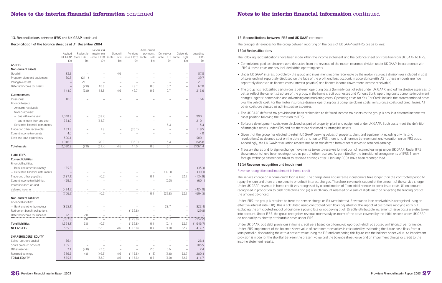

## **Notes to the interim financial information** continued

#### 13. Reconciliations between IFRS and UK GAAP continued

The principal differences for the group between reporting on the basis of UK GAAP and IFRS are as follows:

#### 13(a) Reclassifications

The following reclassifications have been made within the income statement and the balance sheet on transition from UK GAAP to IFRS.

- Commissions paid to reinsurers were deducted from the revenue of the motor insurance division under UK GAAP. In accordance with IFRS 4, these costs are now included within operating costs.
- Under UK GAAP, interest payable by the group and investment income receivable by the motor insurance division was included in cost of sales and not separately disclosed on the face of the profit and loss account. In accordance with IAS 1, these amounts are now separately disclosed as finance costs (interest payable) and finance income (investment income receivable).
- The group has reclassified certain costs between operating costs (formerly cost of sales under UK GAAP) and administrative expenses to better reflect the current structure of the group. In the home credit businesses and Vanquis Bank, operating costs comprise impairment charges, agents' commission and advertising and marketing costs. Operating costs for Yes Car Credit include the aforementioned costs plus the vehicle cost. For the motor insurance division, operating costs comprise claims costs, reinsurance costs and direct levies. All other costs are classed as administrative expenses.
- The UK GAAP deferred tax provision has been reclassified to deferred income tax assets as the group is now in a deferred income tax asset position following the transition to IFRS.
- Software development costs were disclosed as part of property, plant and equipment under UK GAAP. Such costs meet the definition of intangible assets under IFRS and are therefore disclosed as intangible assets.
- Given that the group has elected to retain UK GAAP carrying values of property, plant and equipment (including any historic revaluations) as deemed cost on the date of transition to IFRS there is no difference between cost and valuation on an IFRS basis. Accordingly, the UK GAAP revaluation reserve has been transferred from other reserves to retained earnings.
- Treasury shares and foreign exchange movements taken to reserves formed part of retained earnings under UK GAAP. Under IFRS, these amounts have been recategorised as part of other reserves. As permitted by the transitional arrangements of IFRS 1, only foreign exchange differences taken to retained earnings after 1 January 2004 have been recategorised.

#### 13(b) Revenue recognition and impairment

#### Revenue recognition and impairment in home credit

The service charge on a home credit loan is fixed. The charge does not increase if customers take longer than the contracted period to repay the loan and there are no penalty or default interest charges. Therefore, revenue is capped at the amount of the service charge. Under UK GAAP, revenue in home credit was recognised by a combination of (i) an initial release to cover issue costs, (ii) an amount recognised in proportion to cash collections and (iii) a small amount released on a sum of digits method reflecting the funding cost of the amount advanced.

Under IFRS, the group is required to treat the service charge as if it were interest. Revenue on loan receivables is recognised using an effective interest rate (EIR). This is calculated using contracted cash flows adjusted for the impact of customers repaying early but excluding the anticipated impact of customers paying late or not paying at all. Directly attributable incremental issue costs are also taken into account. Under IFRS, the group recognises revenue more slowly as many of the costs covered by the initial release under UK GAAP do not qualify as directly attributable costs under IFRS.

Under UK GAAP, bad debt provisions in home credit were based on a formulaic approach which was based on historical performance. Under IFRS, impairment of the balance sheet value of customer receivables is calculated by estimating the future cash flows from a loan portfolio, discounting these to a present value using the EIR and comparing this figure with the balance sheet value. An impairment provision is made for the shortfall between the present value and the balance sheet value and an impairment charge or credit to the income statement results.

#### Reconciliation of the balance sheet as at 31 December 2004

|                                    |                          |                          | Revenue &                |                                 |                          | Share-based              |                          |                                 |             |
|------------------------------------|--------------------------|--------------------------|--------------------------|---------------------------------|--------------------------|--------------------------|--------------------------|---------------------------------|-------------|
|                                    | Audited                  | Reclassify               | impairment               | Goodwill                        | Pensions                 | payments                 | Derivatives              | Dividends                       | Unaudited   |
|                                    | UK GAAP                  | (note 13(a))             | (note 13(b))             | (note $13(c)$ ) (note $13(d)$ ) |                          | (note 13(e))             |                          | (note $13(f)$ ) (note $13(q)$ ) | <b>IFRS</b> |
|                                    | £m                       | £m                       | £m                       | £m                              | £m                       | £m                       | £m                       | £m                              | £m          |
| <b>ASSETS</b>                      |                          |                          |                          |                                 |                          |                          |                          |                                 |             |
| Non-current assets                 |                          |                          |                          |                                 |                          |                          |                          |                                 |             |
| Goodwill                           | 83.2                     |                          |                          | 4.6                             |                          |                          |                          | $\overline{\phantom{0}}$        | 87.8        |
| Property, plant and equipment      | 60.8                     | (21.1)                   |                          |                                 |                          |                          |                          | $\overline{\phantom{0}}$        | 39.7        |
| Intangible assets                  | $\overline{\phantom{0}}$ | 21.1                     |                          |                                 |                          |                          |                          | $\overline{\phantom{0}}$        | 21.1        |
| Deferred income tax assets         |                          | (2.8)                    | 18.8                     |                                 | 49.7                     | 0.6                      | 0.7                      |                                 | 67.0        |
|                                    | 144.0                    | (2.8)                    | 18.8                     | 4.6                             | 49.7                     | 0.6                      | 0.7                      | $\overline{\phantom{0}}$        | 215.6       |
| <b>Current assets</b>              |                          |                          |                          |                                 |                          |                          |                          |                                 |             |
| Inventories                        | 16.6                     |                          |                          |                                 |                          |                          |                          |                                 | 16.6        |
| Financial assets:                  |                          |                          |                          |                                 |                          |                          |                          |                                 |             |
| - Amounts receivable               |                          |                          |                          |                                 |                          |                          |                          |                                 |             |
| from customers:                    |                          |                          |                          |                                 |                          |                          |                          |                                 |             |
| - due within one year              | 1,048.3                  |                          | (58.2)                   |                                 |                          |                          |                          |                                 | 990.1       |
| - due in more than one year        | 224.0                    |                          | (13.9)                   |                                 |                          |                          |                          | $\overline{\phantom{0}}$        | 210.1       |
| - Derivative financial instruments |                          |                          | $\overline{\phantom{m}}$ |                                 |                          |                          | 5.4                      | -                               | 5.4         |
| Trade and other receivables        | 153.3                    |                          | 1.9                      | $\overline{\phantom{0}}$        | (35.7)                   |                          | $\overline{\phantom{0}}$ | $\overline{\phantom{0}}$        | 119.5       |
| Current income tax assets          | 4.0                      |                          |                          |                                 | $\overline{\phantom{0}}$ |                          | $\overline{\phantom{0}}$ | $\overline{\phantom{0}}$        | 4.0         |
| Cash and cash equivalents          | 500.1                    |                          |                          |                                 |                          |                          |                          |                                 | 500.1       |
|                                    | 1,946.3                  |                          | (70.2)                   | .                               | (35.7)                   |                          | 5.4                      | $\overline{\phantom{0}}$        | 1,845.8     |
| <b>Total assets</b>                | 2,090.3                  | (2.8)                    | (51.4)                   | 4.6                             | 14.0                     | 0.6                      | 6.1                      | $\qquad \qquad -$               | 2,061.4     |
|                                    |                          |                          |                          |                                 |                          |                          |                          |                                 |             |
| <b>LIABILITIES</b>                 |                          |                          |                          |                                 |                          |                          |                          |                                 |             |
| <b>Current liabilities</b>         |                          |                          |                          |                                 |                          |                          |                          |                                 |             |
|                                    |                          |                          |                          |                                 |                          |                          |                          |                                 |             |
| Financial liabilities:             |                          |                          |                          |                                 |                          |                          |                          |                                 |             |
| - Bank and other borrowings        | (35.3)                   |                          |                          |                                 |                          |                          |                          | $\overline{\phantom{0}}$        | (35.3)      |
| - Derivative financial instruments | $\overline{\phantom{0}}$ |                          |                          |                                 |                          |                          | (39.3)                   | $\overline{\phantom{0}}$        | (39.3)      |
| Trade and other payables           | (187.1)                  |                          | (0.6)                    |                                 |                          | 0.1                      | $\qquad \qquad -$        | 52.7                            | (134.9)     |
| Current income tax liabilities     | (59.6)                   |                          | $\overline{\phantom{0}}$ |                                 |                          | $\overline{\phantom{a}}$ | (0.5)                    | $\overline{\phantom{0}}$        | (60.1)      |
| Insurance accruals and             |                          |                          |                          |                                 |                          |                          |                          |                                 |             |
| deferred income                    | (424.9)                  |                          |                          |                                 |                          |                          |                          |                                 | (424.9)     |
|                                    | (706.9)                  |                          | (0.6)                    |                                 |                          | 0.1                      | (39.8)                   | 52.7                            | (694.5)     |
| Non-current liabilities            |                          |                          |                          |                                 |                          |                          |                          |                                 |             |
| <b>Financial liabilities:</b>      |                          |                          |                          |                                 |                          |                          |                          |                                 |             |
| - Bank and other borrowings        | (855.1)                  |                          |                          |                                 |                          |                          | 32.7                     | $\overline{\phantom{0}}$        | (822.4)     |
| Retirement benefit obligations     |                          |                          |                          |                                 | (129.8)                  |                          |                          | $\overline{\phantom{0}}$        | (129.8)     |
| Deferred income tax liabilities    | (2.8)                    | 2.8                      |                          |                                 |                          |                          |                          |                                 |             |
|                                    | (857.9)                  | 2.8                      |                          |                                 | (129.8)                  |                          | 32.7                     |                                 | (952.2)     |
| <b>Total liabilities</b>           | (1,564.8)                | 2.8                      | (0.6)                    |                                 | (129.8)                  | 0.1                      | (7.1)                    | 52.7                            | (1,646.7)   |
| <b>NET ASSETS</b>                  | 525.5                    | $\overline{\phantom{0}}$ | (52.0)                   | 4.6                             | (115.8)                  | 0.7                      | (1.0)                    | 52.7                            | 414.7       |
|                                    |                          |                          |                          |                                 |                          |                          |                          |                                 |             |
| SHAREHOLDERS' EQUITY               |                          |                          |                          |                                 |                          |                          |                          |                                 |             |
| Called-up share capital            | 26.4                     |                          |                          |                                 |                          |                          |                          | $\overline{\phantom{0}}$        | 26.4        |
| Share premium account              | 105.5                    | $\qquad \qquad -$        |                          |                                 |                          |                          |                          | $\qquad \qquad -$               | 105.5       |
| Other reserves                     | 7.1                      | (4.8)                    | (2.5)                    | $\overline{\phantom{0}}$        | $\qquad \qquad -$        | 2.0                      | 0.6                      | $\qquad \qquad -$               | 2.4         |
| Retained earnings                  | 386.5                    | 4.8                      | (49.5)                   | 4.6                             | (115.8)                  | (1.3)                    | (1.6)                    | 52.7                            | 280.4       |
| <b>TOTAL EQUITY</b>                | 525.5                    | $\overline{\phantom{a}}$ | (52.0)                   | 4.6                             | (115.8)                  | 0.7                      | (1.0)                    | 52.7                            | 414.7       |

#### 13. Reconciliations between IFRS and UK GAAP continued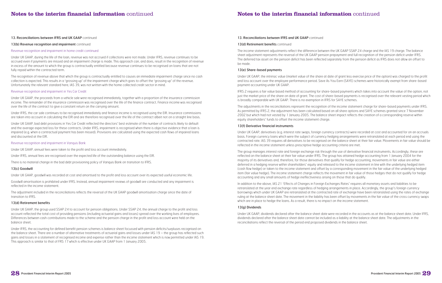

#### 13. Reconciliations between IFRS and UK GAAP continued

13(b) Revenue recognition and impairment continued

The income statement adjustments reflect the difference between the UK GAAP SSAP 24 charge and the IAS 19 charge. The balance sheet adjustment represents the reversal of the UK GAAP pension prepayment and full recognition of the pension deficit under IFRS. The deferred tax asset on the pension deficit has been reflected separately from the pension deficit as IFRS does not allow an offset to be made.

### 13(e) Share-based payments

Under UK GAAP, the intrinsic value (market value of the share at date of grant less exercise price of the option) was charged to the profit and loss account over the employee performance period. Save As You Earn (SAYE) schemes were historically exempt from share-based payment accounting under UK GAAP.

IFRS 2 requires a fair value based method of accounting for share-based payments which takes into account the value of the option, not just the market price of the share on date of grant. The cost of share-based payments is recognised over the relevant vesting period which is broadly comparable with UK GAAP. There is no exemption in IFRS for SAYE schemes.

The adjustments in the reconciliations represent the recognition of the income statement charge for share-based payments under IFRS. As permitted by IFRS 2, the adjustment has been calculated based on all share options and SAYE schemes granted since 7 November 2002 but which had not vested by 1 January 2005. The balance sheet impact reflects the creation of a corresponding reserve within equity shareholders' funds to offset the income statement charge.

#### 13(f) Derivative financial instruments

Under UK GAAP, derivatives (e.g. interest rate swaps, foreign currency contracts) were recorded at cost and accounted for on an accruals basis. Foreign currency loans which were the subject of currency hedging arrangements were retranslated at each period end using the contracted rate. IAS 39 requires all derivatives to be recognised on the balance sheet at their fair value. Movements in fair value should be reflected in the income statement unless prescriptive hedge accounting criteria are met.

The group manages interest rate and foreign exchange risk through the use of derivative financial instruments. Accordingly, these are reflected on the balance sheet at their fair value under IFRS. The group has attained hedge accounting from 1 January 2004 for the majority of its derivatives and, therefore, for those derivatives that qualify for hedge accounting, movements in fair value are either deferred in a hedging reserve within shareholders' equity and released to the income statement in line with the underlying hedged item (cash flow hedge) or taken to the income statement and offset by a corresponding movement in the fair value of the underlying hedged item (fair value hedge). The income statement charge reflects the movement in fair value of those hedges that do not qualify for hedge accounting and any small amounts of hedge ineffectiveness arising on those that do qualify.

In addition to the above, IAS 21 'Effects of Changes in Foreign Exchanges Rates' requires all monetary assets and liabilities to be retranslated at the year end exchange rate regardless of hedging arrangements in place. Accordingly, the group's foreign currency borrowings which under UK GAAP are retranslated at the contracted rate of exchange have been retranslated using the rates of exchange ruling at the balance sheet date. The movement in the liability has been offset by movements in the fair value of the cross currency swaps which are in place to hedge the loans. As a result, there is no impact on the income statement.

#### 13(g) Dividends

Under UK GAAP, dividends declared after the balance sheet date were recorded in the accounts as at the balance sheet date. Under IFRS, dividends declared after the balance sheet date cannot be included as a liability at the balance sheet date. The adjustments in the reconciliations reflect the reversal of the period end proposed dividends in the balance sheet.

#### Revenue recognition and impairment in home credit continued

Under UK GAAP, during the life of the loan, revenue was not accrued if collections were not made. Under IFRS, revenue continues to be accrued even if payments are missed and an impairment charge is made. This approach can, and does, result in the recognition of revenue in excess of the amount to which the group is contractually entitled because revenue continues to be recognised on loans that are not fully repaid within the contracted term.

The recognition of revenue above that which the group is contractually entitled to causes an immediate impairment charge since no cash collection is expected. This results in a 'grossing up' of the impairment charge which goes to offset the 'grossing up' of the revenue. Unfortunately the relevant standard here, IAS 39, was not written with the home collected credit sector in mind.

#### Revenue recognition and impairment in Yes Car Credit

Under UK GAAP, the proceeds from a vehicle sale were recognised immediately, together with a proportion of the insurance commission income. The remainder of the insurance commission was recognised over the life of the finance contract. Finance income was recognised over the life of the contract to give a constant return on the carrying amount.

Under IFRS, the car sale continues to be recognised immediately and finance income is recognised using the EIR. Insurance commissions are taken into account in calculating the EIR and are therefore recognised over the life of the contract albeit not on a straight line basis.

Under UK GAAP, bad debt provisions in Yes Car Credit reflected the directors' best estimate of the number of contracts likely to default and the average expected loss for these contracts. Under IFRS, impairment is recognised when there is objective evidence that a loan is impaired (e.g. when a contractual payment has been missed). Provisions are calculated using the expected cash flows of impaired loans and discounted at the EIR.

#### Revenue recognition and impairment in Vanquis Bank

Under UK GAAP, annual fees were taken to the profit and loss account immediately.

Under IFRS, annual fees are recognised over the expected life of the outstanding balance using the EIR.

There is no material change in the bad debt provisioning policy of Vanquis Bank on transition to IFRS.

#### 13(c) Goodwill

Under UK GAAP, goodwill was recorded at cost and amortised to the profit and loss account over its expected useful economic life.

Goodwill amortisation is prohibited under IFRS. Instead, annual impairment reviews of goodwill are conducted and any impairment is reflected in the income statement.

The adjustment included in the reconciliations reflects the reversal of the UK GAAP goodwill amortisation charge since the date of transition to IFRS.

#### 13(d) Retirement benefits

Under UK GAAP, the group used SSAP 24 to account for pension obligations. Under SSAP 24, the annual charge to the profit and loss account reflected the total cost of providing pensions (including actuarial gains and losses) spread over the working lives of employees. Differences between cash contributions made to the scheme and the pension charge in the profit and loss account were held on the balance sheet.

Under IFRS, the accounting for defined benefit pension schemes is balance sheet focussed with pension deficits/surpluses recognised on the balance sheet. There are a number of alternative treatments of actuarial gains and losses under IAS 19 – the group has reflected such gains and losses in a statement of recognised income and expense rather than the income statement which is now permitted under IAS 19. This approach is similar to that of FRS 17 which is effective under UK GAAP from 1 January 2005.

#### 13. Reconciliations between IFRS and UK GAAP continued

#### 13(d) Retirement benefits continued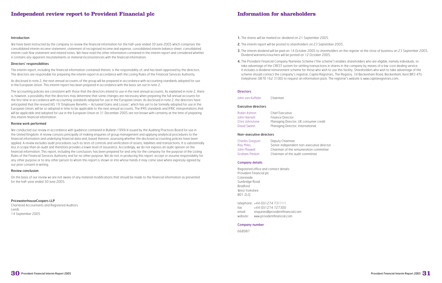



## **Information for shareholders**

- 1. The shares will be marked ex-dividend on 21 September 2005.
- 2. The interim report will be posted to shareholders on 23 September 2005.
- 3. The interim dividend will be paid on 14 October 2005 to shareholders on the register at the close of business on 23 September 2005. Dividend warrants/vouchers will be posted on 12 October 2005.
- 4. The Provident Financial Company Nominee Scheme ('the scheme') enables shareholders who are eligible, namely individuals, to take advantage of the CREST system for settling transactions in shares in the company by means of a low-cost dealing service. It includes a dividend reinvestment scheme for those who wish to use this facility. Shareholders who wish to take advantage of the scheme should contact the company's registrar, Capita Registrars, The Registry, 34 Beckenham Road, Beckenham, Kent BR3 4TU (telephone: 0870 162 3100) to request an information pack. The registrar's website is www.capitaregistrars.com.

#### **Directors**

John van Kuffeler Chairman

#### Executive directors

| Robin Ashton    | Chief Executive                       |
|-----------------|---------------------------------------|
| John Harnett    | <b>Finance Director</b>               |
| Chris Johnstone | Managing Director, UK consumer credit |
| David Swann     | Managing Director, international      |

We have been instructed by the company to review the financial information for the half-year ended 30 June 2005 which comprises the consolidated interim income statement, statement of recognised income and expense, consolidated interim balance sheet, consolidated interim cash flow statement and related notes. We have read the other information contained in the interim report and considered whether it contains any apparent misstatements or material inconsistencies with the financial information.

#### Non-executive directors

| <b>Charles Gregson</b> | Deputy Chairman                           |
|------------------------|-------------------------------------------|
| Ray Miles              | Senior independent non-executive director |
| John Maxwell           | Chairman of the remuneration committee    |
| Graham Pimlott         | Chairman of the audit committee           |

### Company details

Registered office and contact details: Provident Financial plc Colonnade Sunbridge Road Bradford West Yorkshire BD1 2LQ

telephone: +44 (0)1274 731111 fax: +44 (0)1274 727300 email: enquiries@providentfinancial.com website: www.providentfinancial.com

#### Company number

668987

#### Introduction

#### Directors' responsibilities

The interim report, including the financial information contained therein, is the responsibility of, and has been approved by the directors. The directors are responsible for preparing the interim report in accordance with the Listing Rules of the Financial Services Authority.

As disclosed in note 2, the next annual accounts of the group will be prepared in accordance with accounting standards adopted for use in the European Union. This interim report has been prepared in accordance with the basis set out in note 2.

The accounting policies are consistent with those that the directors intend to use in the next annual accounts. As explained in note 2, there is, however, a possibility that the directors may determine that some changes are necessary when preparing the full annual accounts for the first time in accordance with accounting standards adopted for use in the European Union. As disclosed in note 2, the directors have anticipated that the revised IAS 19 'Employee Benefits – Actuarial Gains and Losses', which has yet to be formally adopted for use in the European Union, will be so adopted in time to be applicable to the next annual accounts. The IFRS standards and IFRIC interpretations that will be applicable and adopted for use in the European Union at 31 December 2005 are not known with certainty at the time of preparing this interim financial information.

#### Review work performed

We conducted our review in accordance with guidance contained in Bulletin 1999/4 issued by the Auditing Practices Board for use in the United Kingdom. A review consists principally of making enquiries of group management and applying analytical procedures to the financial information and underlying financial data and, based thereon, assessing whether the disclosed accounting policies have been applied. A review excludes audit procedures such as tests of controls and verification of assets, liabilities and transactions. It is substantially less in scope than an audit and therefore provides a lower level of assurance. Accordingly, we do not express an audit opinion on the financial information. This report, including the conclusion, has been prepared for and only for the company for the purpose of the Listing Rules of the Financial Services Authority and for no other purpose. We do not, in producing this report, accept or assume responsibility for any other purpose or to any other person to whom this report is shown or into whose hands it may come save where expressly agreed by our prior consent in writing.

### Review conclusion

On the basis of our review we are not aware of any material modifications that should be made to the financial information as presented for the half-year ended 30 June 2005.

### PricewaterhouseCoopers LLP

Chartered Accountants and Registered Auditors Leeds 14 September 2005